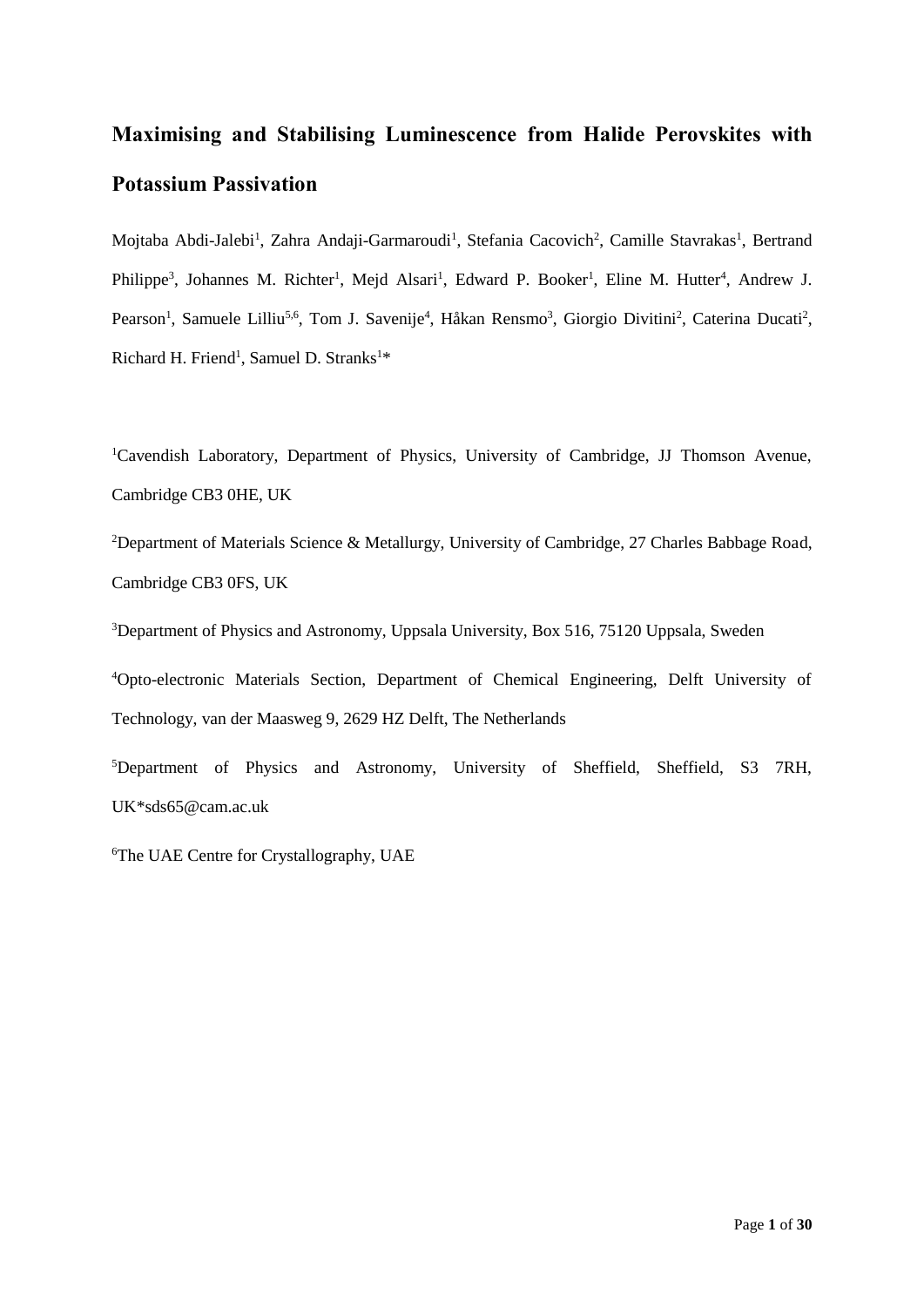## **Maximising and Stabilising Luminescence from Halide Perovskites with Potassium Passivation**

Mojtaba Abdi-Jalebi<sup>1</sup>, Zahra Andaji-Garmaroudi<sup>1</sup>, Stefania Cacovich<sup>2</sup>, Camille Stavrakas<sup>1</sup>, Bertrand Philippe<sup>3</sup>, Johannes M. Richter<sup>1</sup>, Mejd Alsari<sup>1</sup>, Edward P. Booker<sup>1</sup>, Eline M. Hutter<sup>4</sup>, Andrew J. Pearson<sup>1</sup>, Samuele Lilliu<sup>5,6</sup>, Tom J. Savenije<sup>4</sup>, Håkan Rensmo<sup>3</sup>, Giorgio Divitini<sup>2</sup>, Caterina Ducati<sup>2</sup>, Richard H. Friend<sup>1</sup>, Samuel D. Stranks<sup>1\*</sup>

<sup>1</sup>Cavendish Laboratory, Department of Physics, University of Cambridge, JJ Thomson Avenue, Cambridge CB3 0HE, UK

<sup>2</sup>Department of Materials Science & Metallurgy, University of Cambridge, 27 Charles Babbage Road, Cambridge CB3 0FS, UK

<sup>3</sup>Department of Physics and Astronomy, Uppsala University, Box 516, 75120 Uppsala, Sweden

<sup>4</sup>Opto-electronic Materials Section, Department of Chemical Engineering, Delft University of Technology, van der Maasweg 9, 2629 HZ Delft, The Netherlands

<sup>5</sup>Department of Physics and Astronomy, University of Sheffield, Sheffield, S3 7RH, U[K\\*sds65@cam.ac.uk](mailto:*sds65@cam.ac.uk)

6The UAE Centre for Crystallography, UAE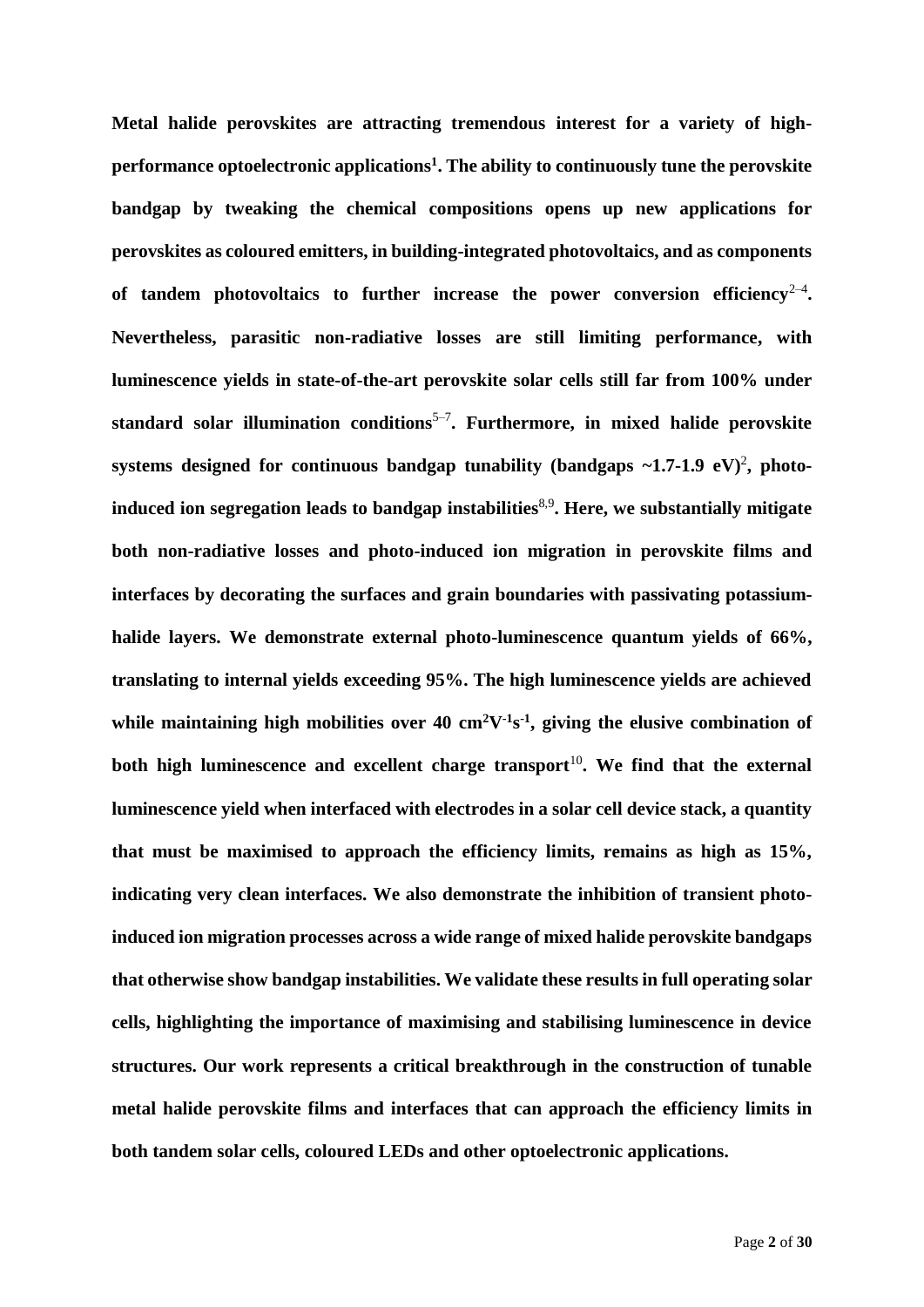**Metal halide perovskites are attracting tremendous interest for a variety of highperformance optoelectronic applications<sup>1</sup> . The ability to continuously tune the perovskite bandgap by tweaking the chemical compositions opens up new applications for perovskites as coloured emitters, in building-integrated photovoltaics, and as components**  of tandem photovoltaics to further increase the power conversion efficiency<sup>2-4</sup>. **Nevertheless, parasitic non-radiative losses are still limiting performance, with luminescence yields in state-of-the-art perovskite solar cells still far from 100% under**  standard solar illumination conditions<sup>5-7</sup>. Furthermore, in mixed halide perovskite systems designed for continuous bandgap tunability (bandgaps ~1.7-1.9 eV)<sup>2</sup>, photo**induced ion segregation leads to bandgap instabilities**8,9 **. Here, we substantially mitigate both non-radiative losses and photo-induced ion migration in perovskite films and interfaces by decorating the surfaces and grain boundaries with passivating potassiumhalide layers. We demonstrate external photo-luminescence quantum yields of 66%, translating to internal yields exceeding 95%. The high luminescence yields are achieved**  while maintaining high mobilities over  $40 \text{ cm}^2\text{V}^1\text{s}^{-1}$ , giving the elusive combination of both high luminescence and excellent charge transport<sup>10</sup>. We find that the external **luminescence yield when interfaced with electrodes in a solar cell device stack, a quantity that must be maximised to approach the efficiency limits, remains as high as 15%, indicating very clean interfaces. We also demonstrate the inhibition of transient photoinduced ion migration processes across a wide range of mixed halide perovskite bandgaps that otherwise show bandgap instabilities. We validate these results in full operating solar cells, highlighting the importance of maximising and stabilising luminescence in device structures. Our work represents a critical breakthrough in the construction of tunable metal halide perovskite films and interfaces that can approach the efficiency limits in both tandem solar cells, coloured LEDs and other optoelectronic applications.**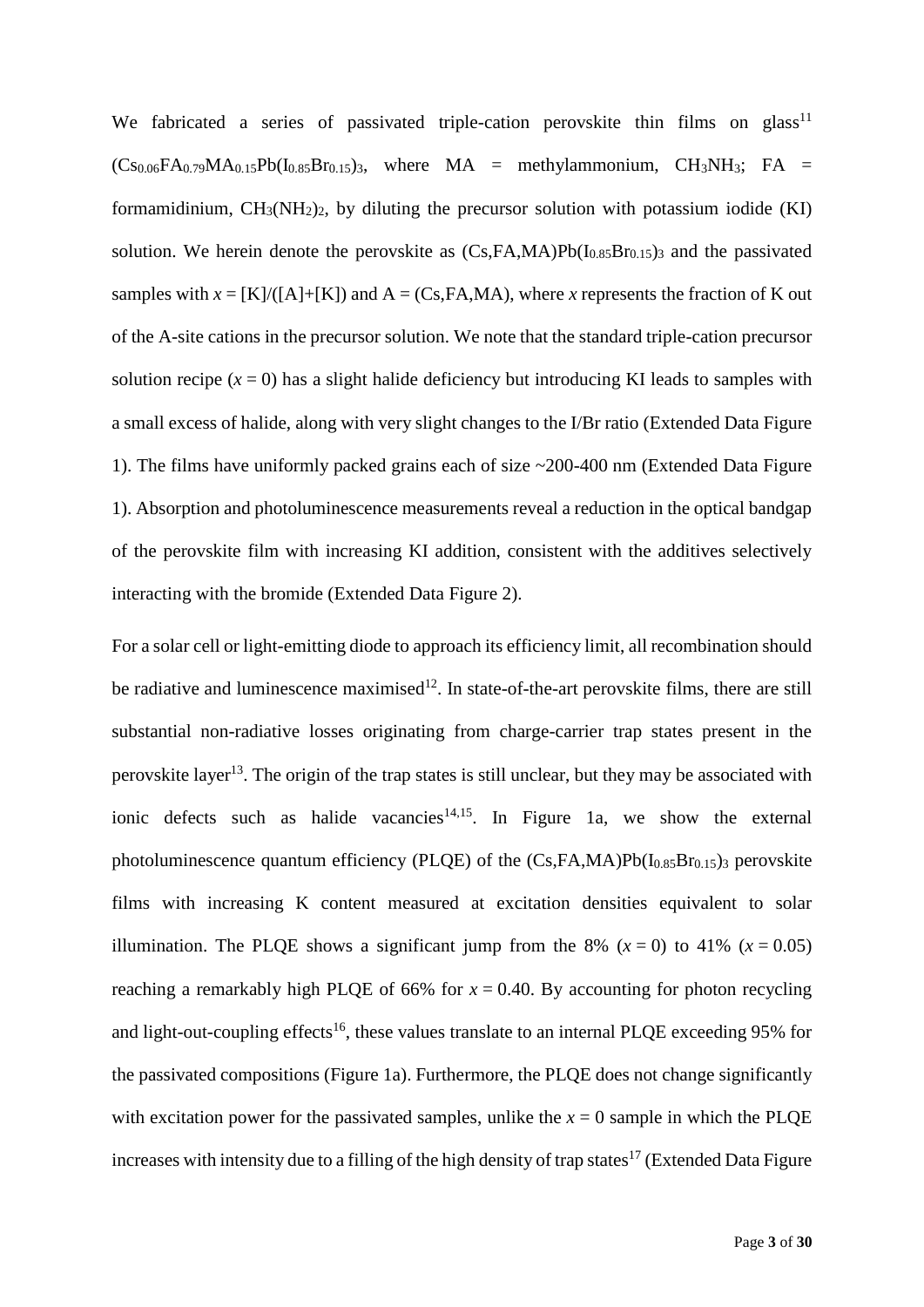We fabricated a series of passivated triple-cation perovskite thin films on glass<sup>11</sup>  $(Cs_{0.06}FA_{0.79}MA_{0.15}Pb(I_{0.85}Br_{0.15})$ , where  $MA = \text{methylammonium}$ ,  $CH_3NH_3$ ; FA = formamidinium,  $CH_3(NH_2)_2$ , by diluting the precursor solution with potassium iodide (KI) solution. We herein denote the perovskite as  $(Cs,FA,MA)Pb(I<sub>0.85</sub>Br<sub>0.15</sub>)$  and the passivated samples with  $x = [K]/([A]+[K])$  and  $A = (Cs, FA, MA)$ , where *x* represents the fraction of K out of the A-site cations in the precursor solution. We note that the standard triple-cation precursor solution recipe  $(x = 0)$  has a slight halide deficiency but introducing KI leads to samples with a small excess of halide, along with very slight changes to the I/Br ratio (Extended Data Figure 1). The films have uniformly packed grains each of size ~200-400 nm (Extended Data Figure 1). Absorption and photoluminescence measurements reveal a reduction in the optical bandgap of the perovskite film with increasing KI addition, consistent with the additives selectively interacting with the bromide (Extended Data Figure 2).

For a solar cell or light-emitting diode to approach its efficiency limit, all recombination should be radiative and luminescence maximised<sup>12</sup>. In state-of-the-art perovskite films, there are still substantial non-radiative losses originating from charge-carrier trap states present in the perovskite layer<sup>13</sup>. The origin of the trap states is still unclear, but they may be associated with ionic defects such as halide vacancies<sup>14,15</sup>. In Figure 1a, we show the external photoluminescence quantum efficiency (PLQE) of the  $(Cs, FA, MA)Pb(I<sub>0.85</sub>Br<sub>0.15</sub>)$ <sub>3</sub> perovskite films with increasing K content measured at excitation densities equivalent to solar illumination. The PLQE shows a significant jump from the 8%  $(x = 0)$  to 41%  $(x = 0.05)$ reaching a remarkably high PLQE of 66% for  $x = 0.40$ . By accounting for photon recycling and light-out-coupling effects<sup>16</sup>, these values translate to an internal PLOE exceeding 95% for the passivated compositions (Figure 1a). Furthermore, the PLQE does not change significantly with excitation power for the passivated samples, unlike the  $x = 0$  sample in which the PLQE increases with intensity due to a filling of the high density of trap states<sup>17</sup> (Extended Data Figure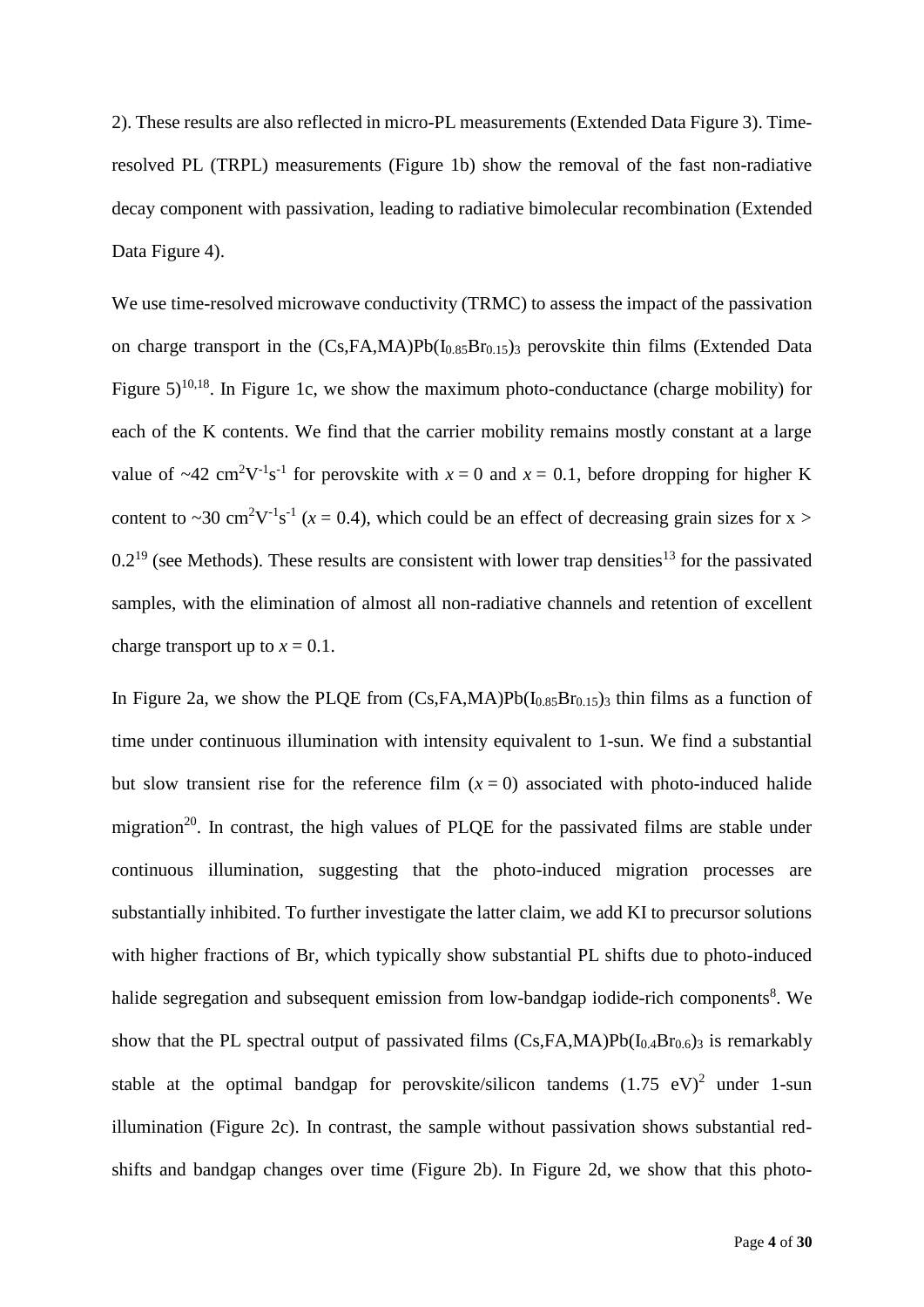2). These results are also reflected in micro-PL measurements (Extended Data Figure 3). Timeresolved PL (TRPL) measurements (Figure 1b) show the removal of the fast non-radiative decay component with passivation, leading to radiative bimolecular recombination (Extended Data Figure 4).

We use time-resolved microwave conductivity (TRMC) to assess the impact of the passivation on charge transport in the  $(Cs,FA,MA)Pb(I<sub>0.85</sub>Br<sub>0.15</sub>)$  perovskite thin films (Extended Data Figure  $5)^{10,18}$ . In Figure 1c, we show the maximum photo-conductance (charge mobility) for each of the K contents. We find that the carrier mobility remains mostly constant at a large value of  $\sim$ 42 cm<sup>2</sup>V<sup>-1</sup>s<sup>-1</sup> for perovskite with  $x = 0$  and  $x = 0.1$ , before dropping for higher K content to ~30 cm<sup>2</sup>V<sup>-1</sup>s<sup>-1</sup> ( $x$  = 0.4), which could be an effect of decreasing grain sizes for x >  $0.2^{19}$  (see Methods). These results are consistent with lower trap densities<sup>13</sup> for the passivated samples, with the elimination of almost all non-radiative channels and retention of excellent charge transport up to  $x = 0.1$ .

In Figure 2a, we show the PLQE from  $(Cs,FA,MA)Pb(I_{0.85}Br_{0.15})$  thin films as a function of time under continuous illumination with intensity equivalent to 1-sun. We find a substantial but slow transient rise for the reference film  $(x = 0)$  associated with photo-induced halide migration<sup>20</sup>. In contrast, the high values of PLQE for the passivated films are stable under continuous illumination, suggesting that the photo-induced migration processes are substantially inhibited. To further investigate the latter claim, we add KI to precursor solutions with higher fractions of Br, which typically show substantial PL shifts due to photo-induced halide segregation and subsequent emission from low-bandgap iodide-rich components<sup>8</sup>. We show that the PL spectral output of passivated films  $(Cs,FA,MA)Pb(I_{0.4}Br_{0.6})$  is remarkably stable at the optimal bandgap for perovskite/silicon tandems  $(1.75 \text{ eV})^2$  under 1-sun illumination (Figure 2c). In contrast, the sample without passivation shows substantial redshifts and bandgap changes over time (Figure 2b). In Figure 2d, we show that this photo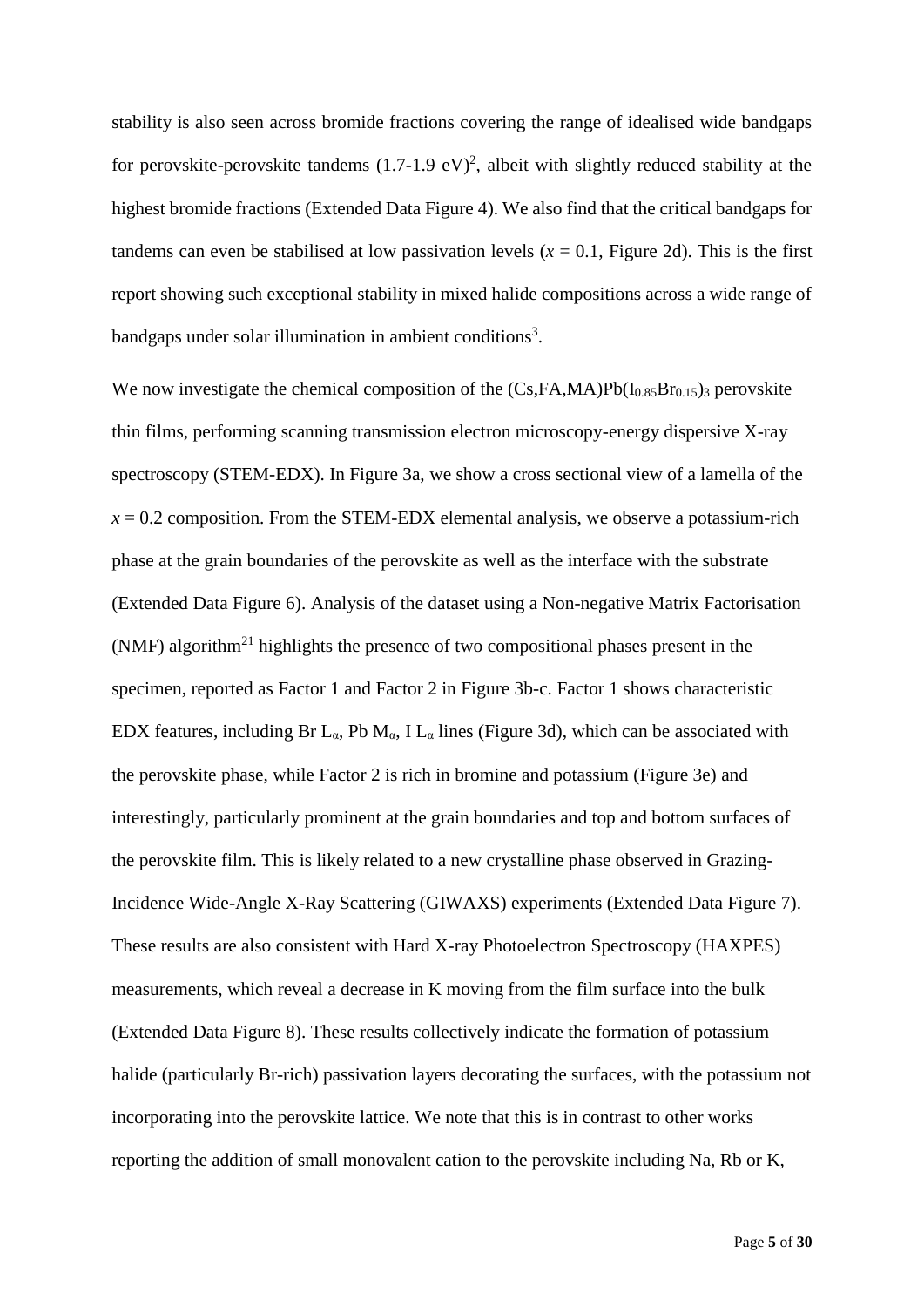stability is also seen across bromide fractions covering the range of idealised wide bandgaps for perovskite-perovskite tandems  $(1.7{\text -}1.9 \text{ eV})^2$ , albeit with slightly reduced stability at the highest bromide fractions (Extended Data Figure 4). We also find that the critical bandgaps for tandems can even be stabilised at low passivation levels  $(x = 0.1$ , Figure 2d). This is the first report showing such exceptional stability in mixed halide compositions across a wide range of bandgaps under solar illumination in ambient conditions<sup>3</sup>.

We now investigate the chemical composition of the  $(Cs,FA,MA)Pb(I<sub>0.85</sub>Br<sub>0.15</sub>)$ <sub>3</sub> perovskite thin films, performing scanning transmission electron microscopy-energy dispersive X-ray spectroscopy (STEM-EDX). In Figure 3a, we show a cross sectional view of a lamella of the  $x = 0.2$  composition. From the STEM-EDX elemental analysis, we observe a potassium-rich phase at the grain boundaries of the perovskite as well as the interface with the substrate (Extended Data Figure 6). Analysis of the dataset using a Non-negative Matrix Factorisation  $(NMF)$  algorithm<sup>21</sup> highlights the presence of two compositional phases present in the specimen, reported as Factor 1 and Factor 2 in Figure 3b-c. Factor 1 shows characteristic EDX features, including Br L<sub>α</sub>, Pb M<sub>α</sub>, I L<sub>α</sub> lines (Figure 3d), which can be associated with the perovskite phase, while Factor 2 is rich in bromine and potassium (Figure 3e) and interestingly, particularly prominent at the grain boundaries and top and bottom surfaces of the perovskite film. This is likely related to a new crystalline phase observed in Grazing-Incidence Wide-Angle X-Ray Scattering (GIWAXS) experiments (Extended Data Figure 7). These results are also consistent with Hard X-ray Photoelectron Spectroscopy (HAXPES) measurements, which reveal a decrease in K moving from the film surface into the bulk (Extended Data Figure 8). These results collectively indicate the formation of potassium halide (particularly Br-rich) passivation layers decorating the surfaces, with the potassium not incorporating into the perovskite lattice. We note that this is in contrast to other works reporting the addition of small monovalent cation to the perovskite including Na, Rb or K,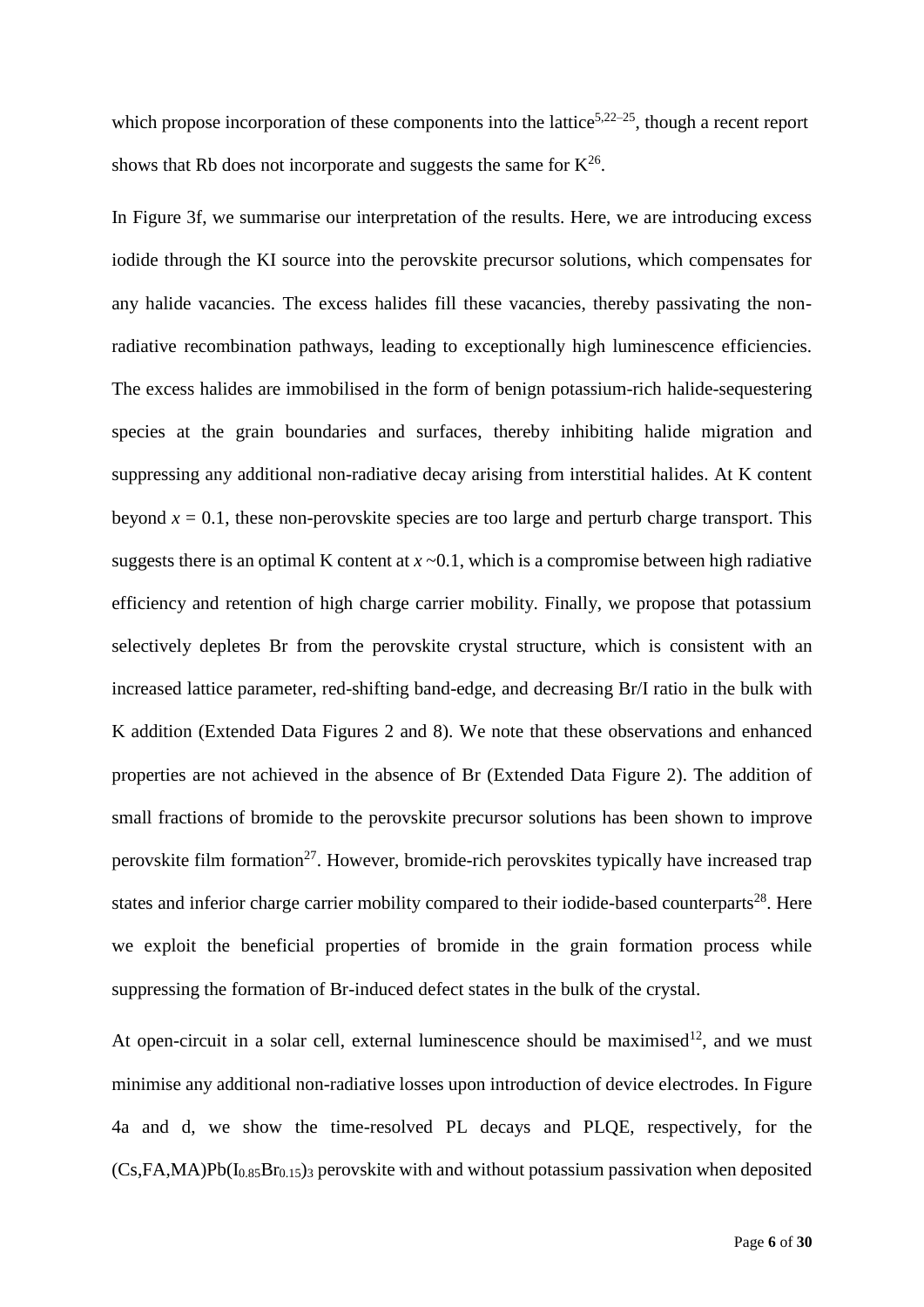which propose incorporation of these components into the lattice<sup>5,22–25</sup>, though a recent report shows that Rb does not incorporate and suggests the same for  $K^{26}$ .

In Figure 3f, we summarise our interpretation of the results. Here, we are introducing excess iodide through the KI source into the perovskite precursor solutions, which compensates for any halide vacancies. The excess halides fill these vacancies, thereby passivating the nonradiative recombination pathways, leading to exceptionally high luminescence efficiencies. The excess halides are immobilised in the form of benign potassium-rich halide-sequestering species at the grain boundaries and surfaces, thereby inhibiting halide migration and suppressing any additional non-radiative decay arising from interstitial halides. At K content beyond  $x = 0.1$ , these non-perovskite species are too large and perturb charge transport. This suggests there is an optimal K content at  $x \sim 0.1$ , which is a compromise between high radiative efficiency and retention of high charge carrier mobility. Finally, we propose that potassium selectively depletes Br from the perovskite crystal structure, which is consistent with an increased lattice parameter, red-shifting band-edge, and decreasing Br/I ratio in the bulk with K addition (Extended Data Figures 2 and 8). We note that these observations and enhanced properties are not achieved in the absence of Br (Extended Data Figure 2). The addition of small fractions of bromide to the perovskite precursor solutions has been shown to improve perovskite film formation<sup>27</sup>. However, bromide-rich perovskites typically have increased trap states and inferior charge carrier mobility compared to their iodide-based counterparts<sup>28</sup>. Here we exploit the beneficial properties of bromide in the grain formation process while suppressing the formation of Br-induced defect states in the bulk of the crystal.

At open-circuit in a solar cell, external luminescence should be maximised<sup>12</sup>, and we must minimise any additional non-radiative losses upon introduction of device electrodes. In Figure 4a and d, we show the time-resolved PL decays and PLQE, respectively, for the  $(Cs,FA,MA)Pb(I<sub>0.85</sub>Br<sub>0.15</sub>)$ <sub>3</sub> perovskite with and without potassium passivation when deposited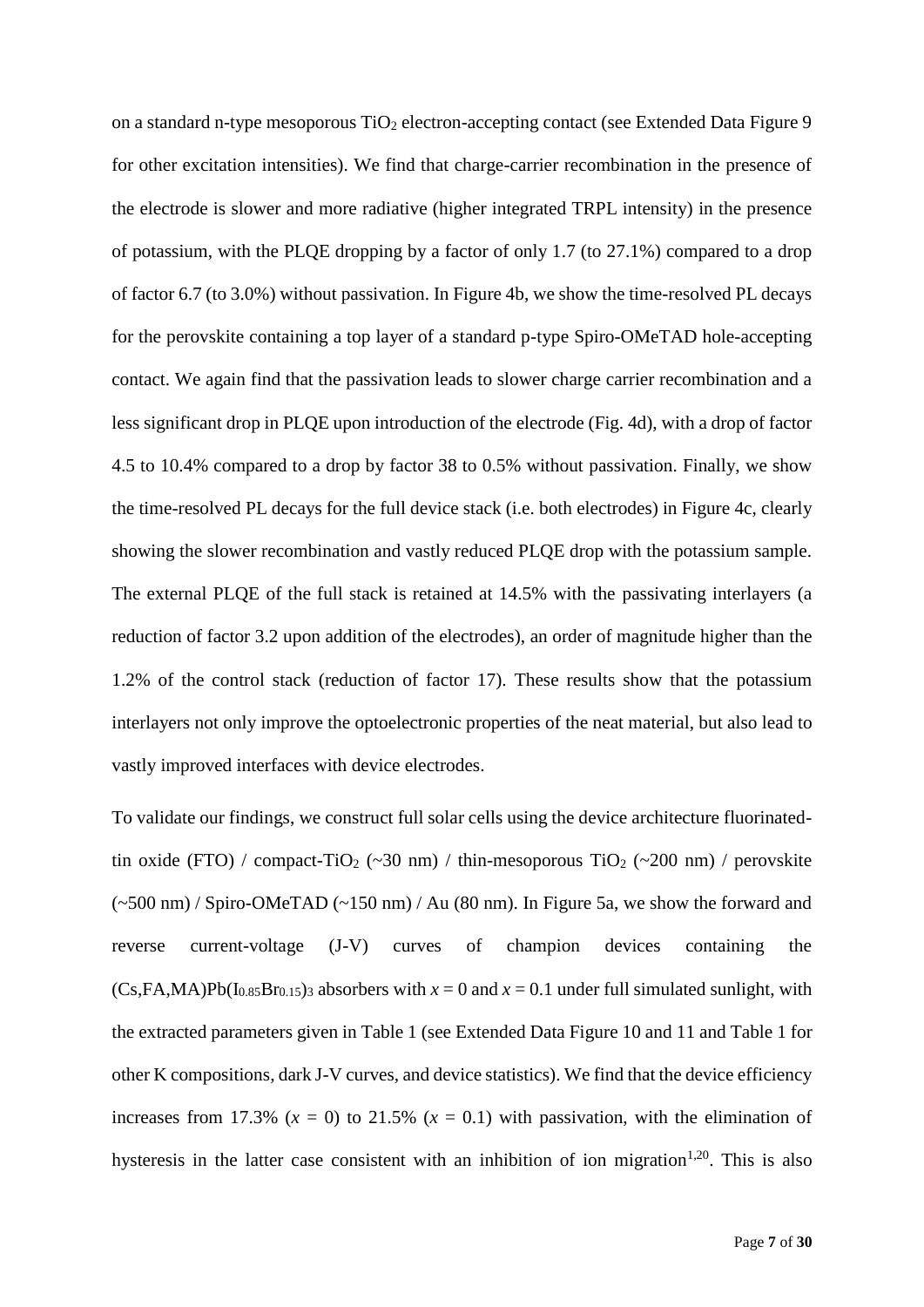on a standard n-type mesoporous  $TiO<sub>2</sub>$  electron-accepting contact (see Extended Data Figure 9) for other excitation intensities). We find that charge-carrier recombination in the presence of the electrode is slower and more radiative (higher integrated TRPL intensity) in the presence of potassium, with the PLQE dropping by a factor of only 1.7 (to 27.1%) compared to a drop of factor 6.7 (to 3.0%) without passivation. In Figure 4b, we show the time-resolved PL decays for the perovskite containing a top layer of a standard p-type Spiro-OMeTAD hole-accepting contact. We again find that the passivation leads to slower charge carrier recombination and a less significant drop in PLQE upon introduction of the electrode (Fig. 4d), with a drop of factor 4.5 to 10.4% compared to a drop by factor 38 to 0.5% without passivation. Finally, we show the time-resolved PL decays for the full device stack (i.e. both electrodes) in Figure 4c, clearly showing the slower recombination and vastly reduced PLQE drop with the potassium sample. The external PLQE of the full stack is retained at 14.5% with the passivating interlayers (a reduction of factor 3.2 upon addition of the electrodes), an order of magnitude higher than the 1.2% of the control stack (reduction of factor 17). These results show that the potassium interlayers not only improve the optoelectronic properties of the neat material, but also lead to vastly improved interfaces with device electrodes.

To validate our findings, we construct full solar cells using the device architecture fluorinatedtin oxide (FTO) / compact-TiO<sub>2</sub> (~30 nm) / thin-mesoporous TiO<sub>2</sub> (~200 nm) / perovskite (~500 nm) / Spiro-OMeTAD (~150 nm) / Au (80 nm). In Figure 5a, we show the forward and reverse current-voltage (J-V) curves of champion devices containing the  $(Cs,FA,MA)Pb(I<sub>0.85</sub>Br<sub>0.15</sub>)<sub>3</sub>$  absorbers with  $x = 0$  and  $x = 0.1$  under full simulated sunlight, with the extracted parameters given in Table 1 (see Extended Data Figure 10 and 11 and Table 1 for other K compositions, dark J-V curves, and device statistics). We find that the device efficiency increases from 17.3%  $(x = 0)$  to 21.5%  $(x = 0.1)$  with passivation, with the elimination of hysteresis in the latter case consistent with an inhibition of ion migration<sup>1,20</sup>. This is also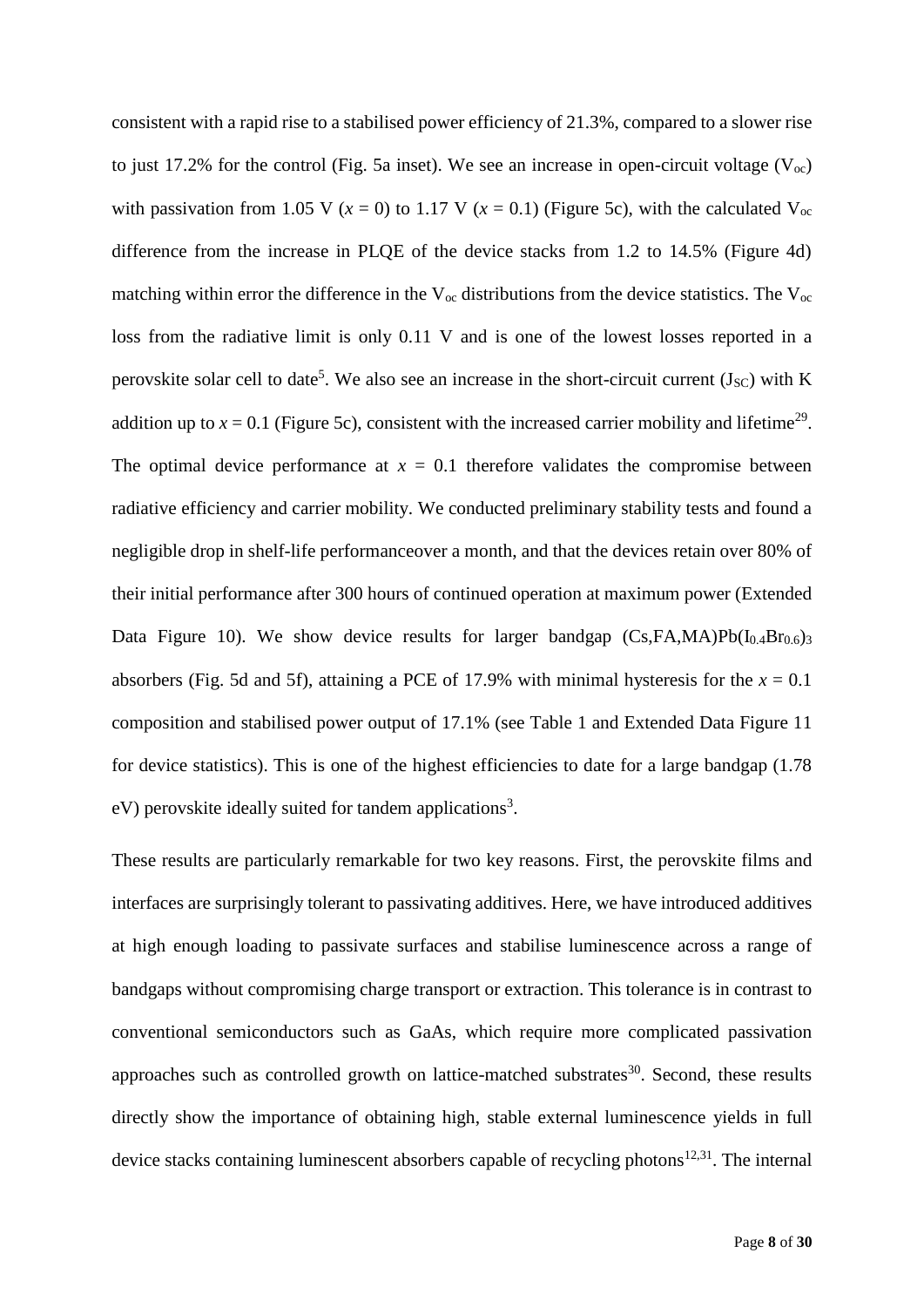consistent with a rapid rise to a stabilised power efficiency of 21.3%, compared to a slower rise to just 17.2% for the control (Fig. 5a inset). We see an increase in open-circuit voltage ( $V_{\text{oc}}$ ) with passivation from 1.05 V ( $x = 0$ ) to 1.17 V ( $x = 0.1$ ) (Figure 5c), with the calculated V<sub>oc</sub> difference from the increase in PLQE of the device stacks from 1.2 to 14.5% (Figure 4d) matching within error the difference in the  $V_{\text{oc}}$  distributions from the device statistics. The  $V_{\text{oc}}$ loss from the radiative limit is only 0.11 V and is one of the lowest losses reported in a perovskite solar cell to date<sup>5</sup>. We also see an increase in the short-circuit current  $(J_{SC})$  with K addition up to  $x = 0.1$  (Figure 5c), consistent with the increased carrier mobility and lifetime<sup>29</sup>. The optimal device performance at  $x = 0.1$  therefore validates the compromise between radiative efficiency and carrier mobility. We conducted preliminary stability tests and found a negligible drop in shelf-life performanceover a month, and that the devices retain over 80% of their initial performance after 300 hours of continued operation at maximum power (Extended Data Figure 10). We show device results for larger bandgap  $(Cs,FA,MA)Pb(I<sub>0.4</sub>Br<sub>0.6</sub>)<sub>3</sub>$ absorbers (Fig. 5d and 5f), attaining a PCE of 17.9% with minimal hysteresis for the  $x = 0.1$ composition and stabilised power output of 17.1% (see Table 1 and Extended Data Figure 11 for device statistics). This is one of the highest efficiencies to date for a large bandgap (1.78 eV) perovskite ideally suited for tandem applications<sup>3</sup>.

These results are particularly remarkable for two key reasons. First, the perovskite films and interfaces are surprisingly tolerant to passivating additives. Here, we have introduced additives at high enough loading to passivate surfaces and stabilise luminescence across a range of bandgaps without compromising charge transport or extraction. This tolerance is in contrast to conventional semiconductors such as GaAs, which require more complicated passivation approaches such as controlled growth on lattice-matched substrates<sup>30</sup>. Second, these results directly show the importance of obtaining high, stable external luminescence yields in full device stacks containing luminescent absorbers capable of recycling photons $12,31$ . The internal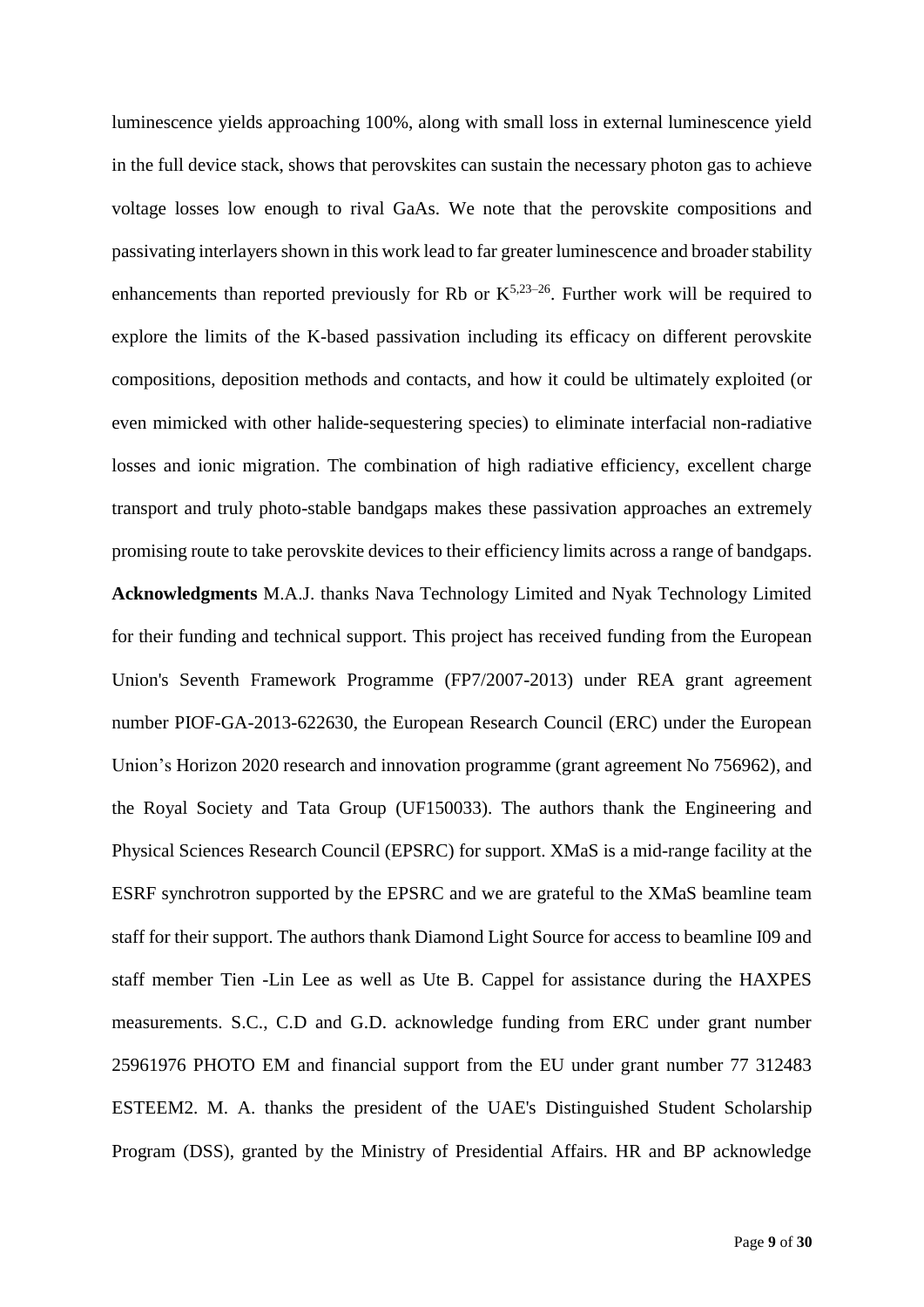luminescence yields approaching 100%, along with small loss in external luminescence yield in the full device stack, shows that perovskites can sustain the necessary photon gas to achieve voltage losses low enough to rival GaAs. We note that the perovskite compositions and passivating interlayers shown in this work lead to far greater luminescence and broader stability enhancements than reported previously for Rb or  $K^{5,23-26}$ . Further work will be required to explore the limits of the K-based passivation including its efficacy on different perovskite compositions, deposition methods and contacts, and how it could be ultimately exploited (or even mimicked with other halide-sequestering species) to eliminate interfacial non-radiative losses and ionic migration. The combination of high radiative efficiency, excellent charge transport and truly photo-stable bandgaps makes these passivation approaches an extremely promising route to take perovskite devices to their efficiency limits across a range of bandgaps. **Acknowledgments** M.A.J. thanks Nava Technology Limited and Nyak Technology Limited for their funding and technical support. This project has received funding from the European Union's Seventh Framework Programme (FP7/2007-2013) under REA grant agreement number PIOF-GA-2013-622630, the European Research Council (ERC) under the European Union's Horizon 2020 research and innovation programme (grant agreement No 756962), and the Royal Society and Tata Group (UF150033). The authors thank the Engineering and Physical Sciences Research Council (EPSRC) for support. XMaS is a mid-range facility at the ESRF synchrotron supported by the EPSRC and we are grateful to the XMaS beamline team staff for their support. The authors thank Diamond Light Source for access to beamline I09 and staff member Tien -Lin Lee as well as Ute B. Cappel for assistance during the HAXPES measurements. S.C., C.D and G.D. acknowledge funding from ERC under grant number 25961976 PHOTO EM and financial support from the EU under grant number 77 312483 ESTEEM2. M. A. thanks the president of the UAE's Distinguished Student Scholarship Program (DSS), granted by the Ministry of Presidential Affairs. HR and BP acknowledge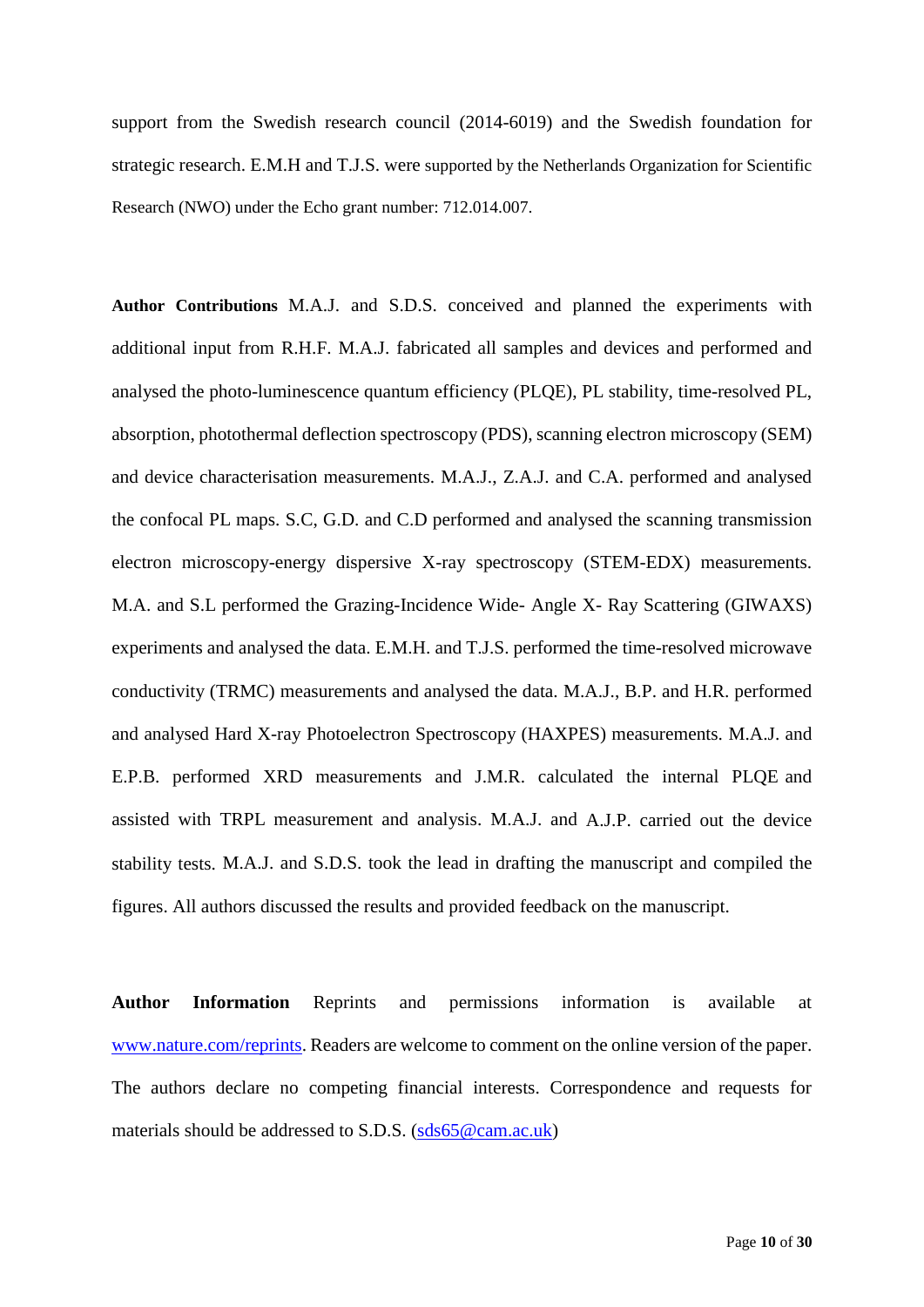support from the Swedish research council (2014-6019) and the Swedish foundation for strategic research. E.M.H and T.J.S. were supported by the Netherlands Organization for Scientific Research (NWO) under the Echo grant number: 712.014.007.

**Author Contributions** M.A.J. and S.D.S. conceived and planned the experiments with additional input from R.H.F. M.A.J. fabricated all samples and devices and performed and analysed the photo-luminescence quantum efficiency (PLQE), PL stability, time-resolved PL, absorption, photothermal deflection spectroscopy (PDS), scanning electron microscopy (SEM) and device characterisation measurements. M.A.J., Z.A.J. and C.A. performed and analysed the confocal PL maps. S.C, G.D. and C.D performed and analysed the scanning transmission electron microscopy-energy dispersive X-ray spectroscopy (STEM-EDX) measurements. M.A. and S.L performed the Grazing-Incidence Wide- Angle X- Ray Scattering (GIWAXS) experiments and analysed the data. E.M.H. and T.J.S. performed the time-resolved microwave conductivity (TRMC) measurements and analysed the data. M.A.J., B.P. and H.R. performed and analysed Hard X-ray Photoelectron Spectroscopy (HAXPES) measurements. M.A.J. and E.P.B. performed XRD measurements and J.M.R. calculated the internal PLQE and assisted with TRPL measurement and analysis. M.A.J. and A.J.P. carried out the device stability tests. M.A.J. and S.D.S. took the lead in drafting the manuscript and compiled the figures. All authors discussed the results and provided feedback on the manuscript.

**Author Information** Reprints and permissions information is available at [www.nature.com/reprints.](http://www.nature.com/reprints) Readers are welcome to comment on the online version of the paper. The authors declare no competing financial interests. Correspondence and requests for materials should be addressed to S.D.S. [\(sds65@cam.ac.uk\)](mailto:sds65@cam.ac.uk)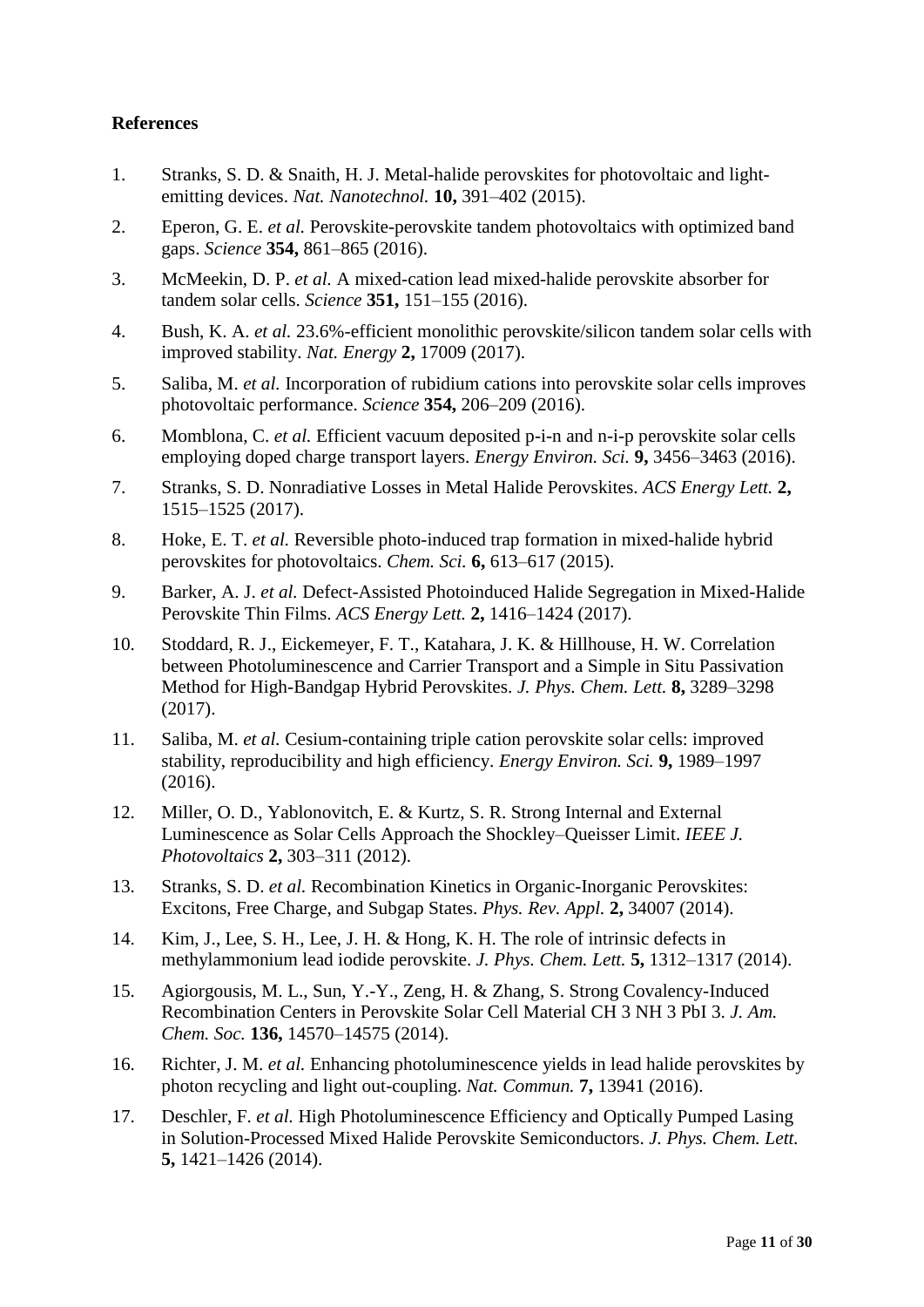### **References**

- 1. Stranks, S. D. & Snaith, H. J. Metal-halide perovskites for photovoltaic and lightemitting devices. *Nat. Nanotechnol.* **10,** 391–402 (2015).
- 2. Eperon, G. E. *et al.* Perovskite-perovskite tandem photovoltaics with optimized band gaps. *Science* **354,** 861–865 (2016).
- 3. McMeekin, D. P. *et al.* A mixed-cation lead mixed-halide perovskite absorber for tandem solar cells. *Science* **351,** 151–155 (2016).
- 4. Bush, K. A. *et al.* 23.6%-efficient monolithic perovskite/silicon tandem solar cells with improved stability. *Nat. Energy* **2,** 17009 (2017).
- 5. Saliba, M. *et al.* Incorporation of rubidium cations into perovskite solar cells improves photovoltaic performance. *Science* **354,** 206–209 (2016).
- 6. Momblona, C. *et al.* Efficient vacuum deposited p-i-n and n-i-p perovskite solar cells employing doped charge transport layers. *Energy Environ. Sci.* **9,** 3456–3463 (2016).
- 7. Stranks, S. D. Nonradiative Losses in Metal Halide Perovskites. *ACS Energy Lett.* **2,** 1515–1525 (2017).
- 8. Hoke, E. T. *et al.* Reversible photo-induced trap formation in mixed-halide hybrid perovskites for photovoltaics. *Chem. Sci.* **6,** 613–617 (2015).
- 9. Barker, A. J. *et al.* Defect-Assisted Photoinduced Halide Segregation in Mixed-Halide Perovskite Thin Films. *ACS Energy Lett.* **2,** 1416–1424 (2017).
- 10. Stoddard, R. J., Eickemeyer, F. T., Katahara, J. K. & Hillhouse, H. W. Correlation between Photoluminescence and Carrier Transport and a Simple in Situ Passivation Method for High-Bandgap Hybrid Perovskites. *J. Phys. Chem. Lett.* **8,** 3289–3298 (2017).
- 11. Saliba, M. *et al.* Cesium-containing triple cation perovskite solar cells: improved stability, reproducibility and high efficiency. *Energy Environ. Sci.* **9,** 1989–1997 (2016).
- 12. Miller, O. D., Yablonovitch, E. & Kurtz, S. R. Strong Internal and External Luminescence as Solar Cells Approach the Shockley–Queisser Limit. *IEEE J. Photovoltaics* **2,** 303–311 (2012).
- 13. Stranks, S. D. *et al.* Recombination Kinetics in Organic-Inorganic Perovskites: Excitons, Free Charge, and Subgap States. *Phys. Rev. Appl.* **2,** 34007 (2014).
- 14. Kim, J., Lee, S. H., Lee, J. H. & Hong, K. H. The role of intrinsic defects in methylammonium lead iodide perovskite. *J. Phys. Chem. Lett.* **5,** 1312–1317 (2014).
- 15. Agiorgousis, M. L., Sun, Y.-Y., Zeng, H. & Zhang, S. Strong Covalency-Induced Recombination Centers in Perovskite Solar Cell Material CH 3 NH 3 PbI 3. *J. Am. Chem. Soc.* **136,** 14570–14575 (2014).
- 16. Richter, J. M. *et al.* Enhancing photoluminescence yields in lead halide perovskites by photon recycling and light out-coupling. *Nat. Commun.* **7,** 13941 (2016).
- 17. Deschler, F. *et al.* High Photoluminescence Efficiency and Optically Pumped Lasing in Solution-Processed Mixed Halide Perovskite Semiconductors. *J. Phys. Chem. Lett.* **5,** 1421–1426 (2014).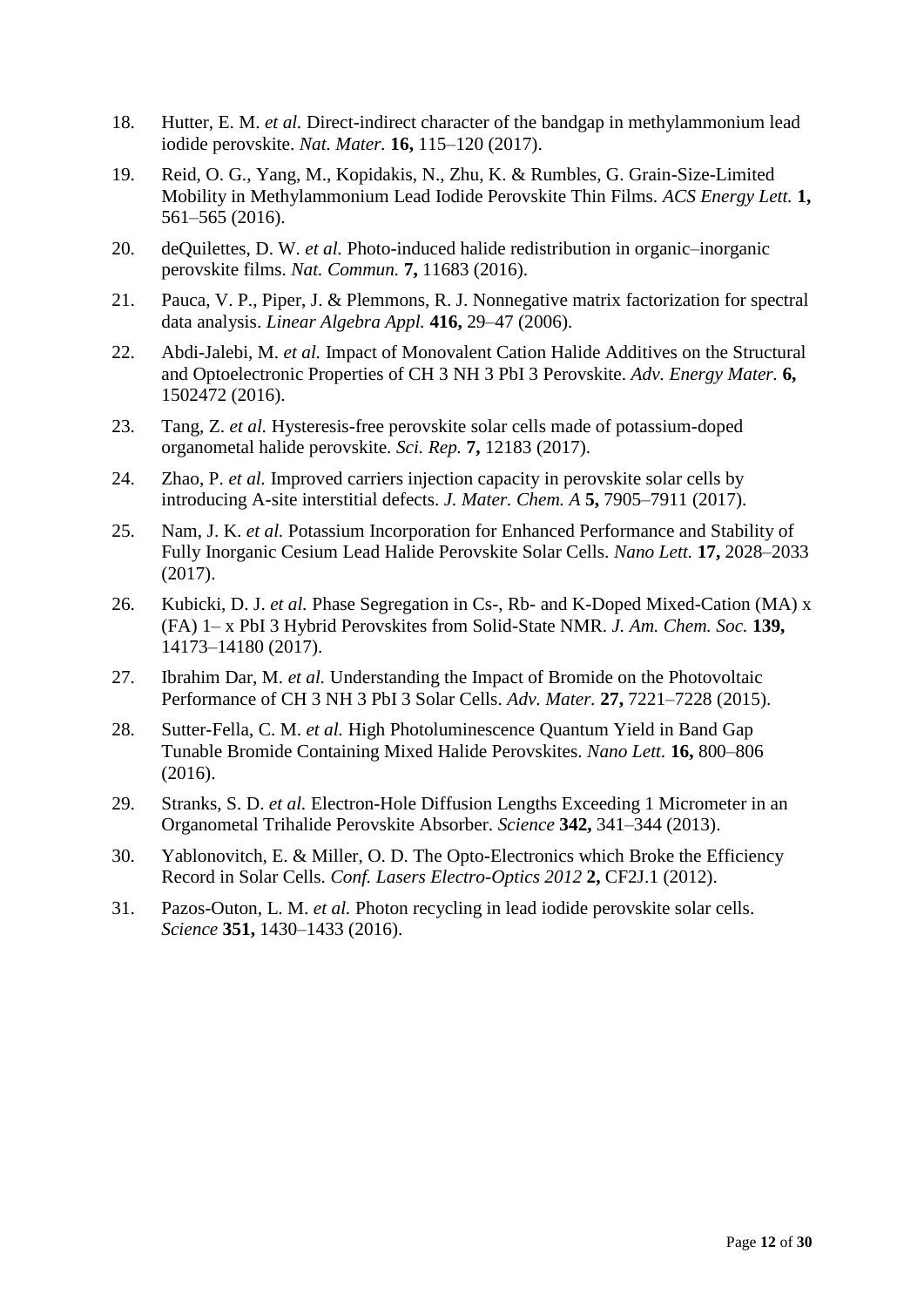- 18. Hutter, E. M. *et al.* Direct-indirect character of the bandgap in methylammonium lead iodide perovskite. *Nat. Mater.* **16,** 115–120 (2017).
- 19. Reid, O. G., Yang, M., Kopidakis, N., Zhu, K. & Rumbles, G. Grain-Size-Limited Mobility in Methylammonium Lead Iodide Perovskite Thin Films. *ACS Energy Lett.* **1,** 561–565 (2016).
- 20. deQuilettes, D. W. *et al.* Photo-induced halide redistribution in organic–inorganic perovskite films. *Nat. Commun.* **7,** 11683 (2016).
- 21. Pauca, V. P., Piper, J. & Plemmons, R. J. Nonnegative matrix factorization for spectral data analysis. *Linear Algebra Appl.* **416,** 29–47 (2006).
- 22. Abdi-Jalebi, M. *et al.* Impact of Monovalent Cation Halide Additives on the Structural and Optoelectronic Properties of CH 3 NH 3 PbI 3 Perovskite. *Adv. Energy Mater.* **6,** 1502472 (2016).
- 23. Tang, Z. *et al.* Hysteresis-free perovskite solar cells made of potassium-doped organometal halide perovskite. *Sci. Rep.* **7,** 12183 (2017).
- 24. Zhao, P. *et al.* Improved carriers injection capacity in perovskite solar cells by introducing A-site interstitial defects. *J. Mater. Chem. A* **5,** 7905–7911 (2017).
- 25. Nam, J. K. *et al.* Potassium Incorporation for Enhanced Performance and Stability of Fully Inorganic Cesium Lead Halide Perovskite Solar Cells. *Nano Lett.* **17,** 2028–2033 (2017).
- 26. Kubicki, D. J. *et al.* Phase Segregation in Cs-, Rb- and K-Doped Mixed-Cation (MA) x (FA) 1– x PbI 3 Hybrid Perovskites from Solid-State NMR. *J. Am. Chem. Soc.* **139,** 14173–14180 (2017).
- 27. Ibrahim Dar, M. *et al.* Understanding the Impact of Bromide on the Photovoltaic Performance of CH 3 NH 3 PbI 3 Solar Cells. *Adv. Mater.* **27,** 7221–7228 (2015).
- 28. Sutter-Fella, C. M. *et al.* High Photoluminescence Quantum Yield in Band Gap Tunable Bromide Containing Mixed Halide Perovskites. *Nano Lett.* **16,** 800–806 (2016).
- 29. Stranks, S. D. *et al.* Electron-Hole Diffusion Lengths Exceeding 1 Micrometer in an Organometal Trihalide Perovskite Absorber. *Science* **342,** 341–344 (2013).
- 30. Yablonovitch, E. & Miller, O. D. The Opto-Electronics which Broke the Efficiency Record in Solar Cells. *Conf. Lasers Electro-Optics 2012* **2,** CF2J.1 (2012).
- 31. Pazos-Outon, L. M. *et al.* Photon recycling in lead iodide perovskite solar cells. *Science* **351,** 1430–1433 (2016).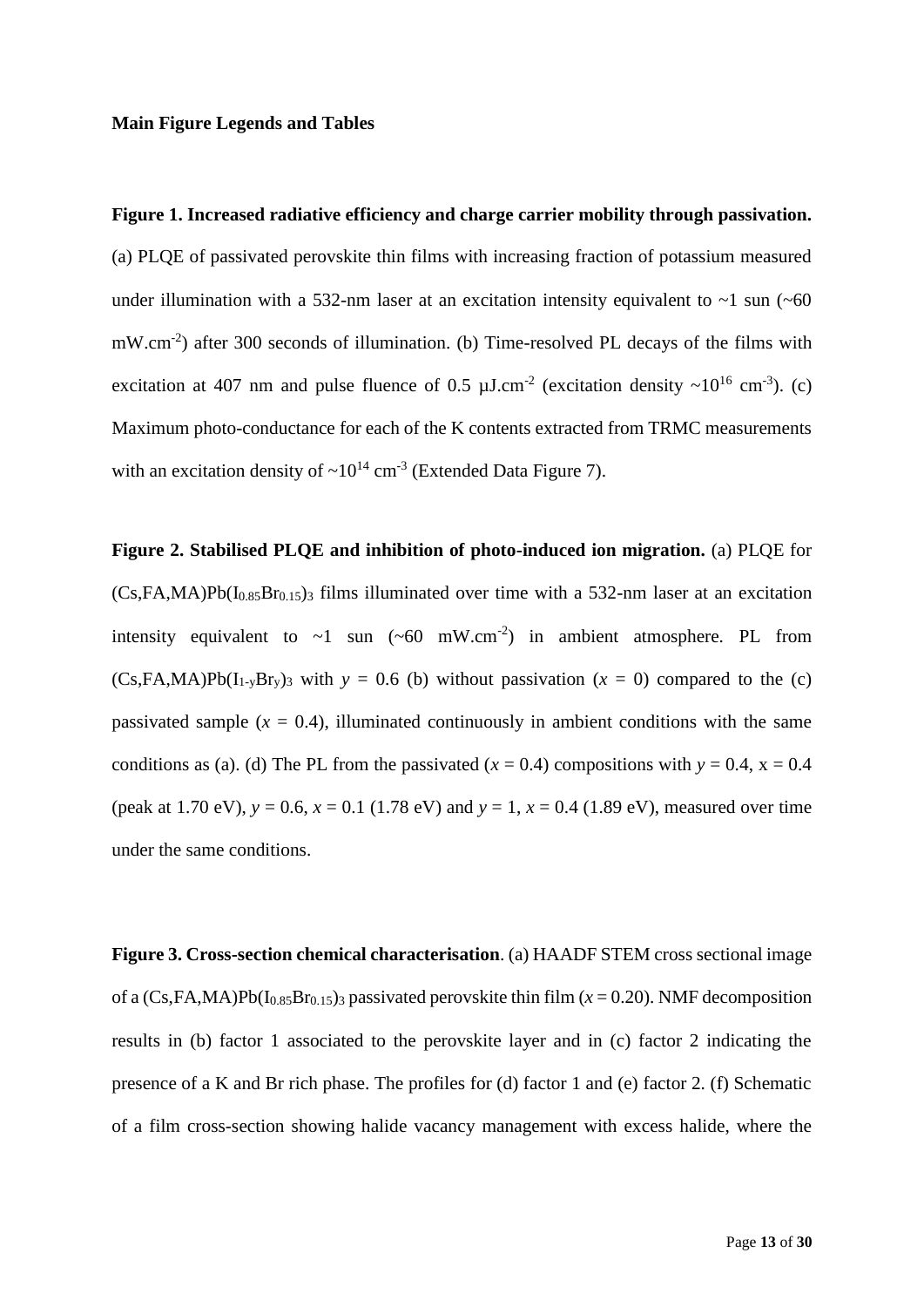#### **Main Figure Legends and Tables**

# **Figure 1. Increased radiative efficiency and charge carrier mobility through passivation.**  (a) PLQE of passivated perovskite thin films with increasing fraction of potassium measured under illumination with a 532-nm laser at an excitation intensity equivalent to  $\sim$ 1 sun ( $\sim$ 60 mW.cm<sup>-2</sup>) after 300 seconds of illumination. (b) Time-resolved PL decays of the films with excitation at 407 nm and pulse fluence of 0.5  $\mu$ J.cm<sup>-2</sup> (excitation density ~10<sup>16</sup> cm<sup>-3</sup>). (c) Maximum photo-conductance for each of the K contents extracted from TRMC measurements with an excitation density of  $\sim 10^{14}$  cm<sup>-3</sup> (Extended Data Figure 7).

**Figure 2. Stabilised PLQE and inhibition of photo-induced ion migration.** (a) PLQE for  $(Cs,FA,MA)Pb(I<sub>0.85</sub>Br<sub>0.15</sub>)$ <sup>3</sup> films illuminated over time with a 532-nm laser at an excitation intensity equivalent to  $\sim 1$  sun ( $\sim 60$  mW.cm<sup>-2</sup>) in ambient atmosphere. PL from  $(Cs,FA,MA)Pb(I<sub>1</sub>,BF<sub>v</sub>)<sub>3</sub>$  with  $y = 0.6$  (b) without passivation  $(x = 0)$  compared to the (c) passivated sample  $(x = 0.4)$ , illuminated continuously in ambient conditions with the same conditions as (a). (d) The PL from the passivated ( $x = 0.4$ ) compositions with  $y = 0.4$ ,  $x = 0.4$ (peak at 1.70 eV),  $y = 0.6$ ,  $x = 0.1$  (1.78 eV) and  $y = 1$ ,  $x = 0.4$  (1.89 eV), measured over time under the same conditions.

**Figure 3. Cross-section chemical characterisation**. (a) HAADF STEM cross sectional image of a  $(Cs,FA,MA)Pb(I<sub>0.85</sub>Br<sub>0.15</sub>)$ <sub>3</sub> passivated perovskite thin film ( $x = 0.20$ ). NMF decomposition results in (b) factor 1 associated to the perovskite layer and in (c) factor 2 indicating the presence of a K and Br rich phase. The profiles for (d) factor 1 and (e) factor 2. (f) Schematic of a film cross-section showing halide vacancy management with excess halide, where the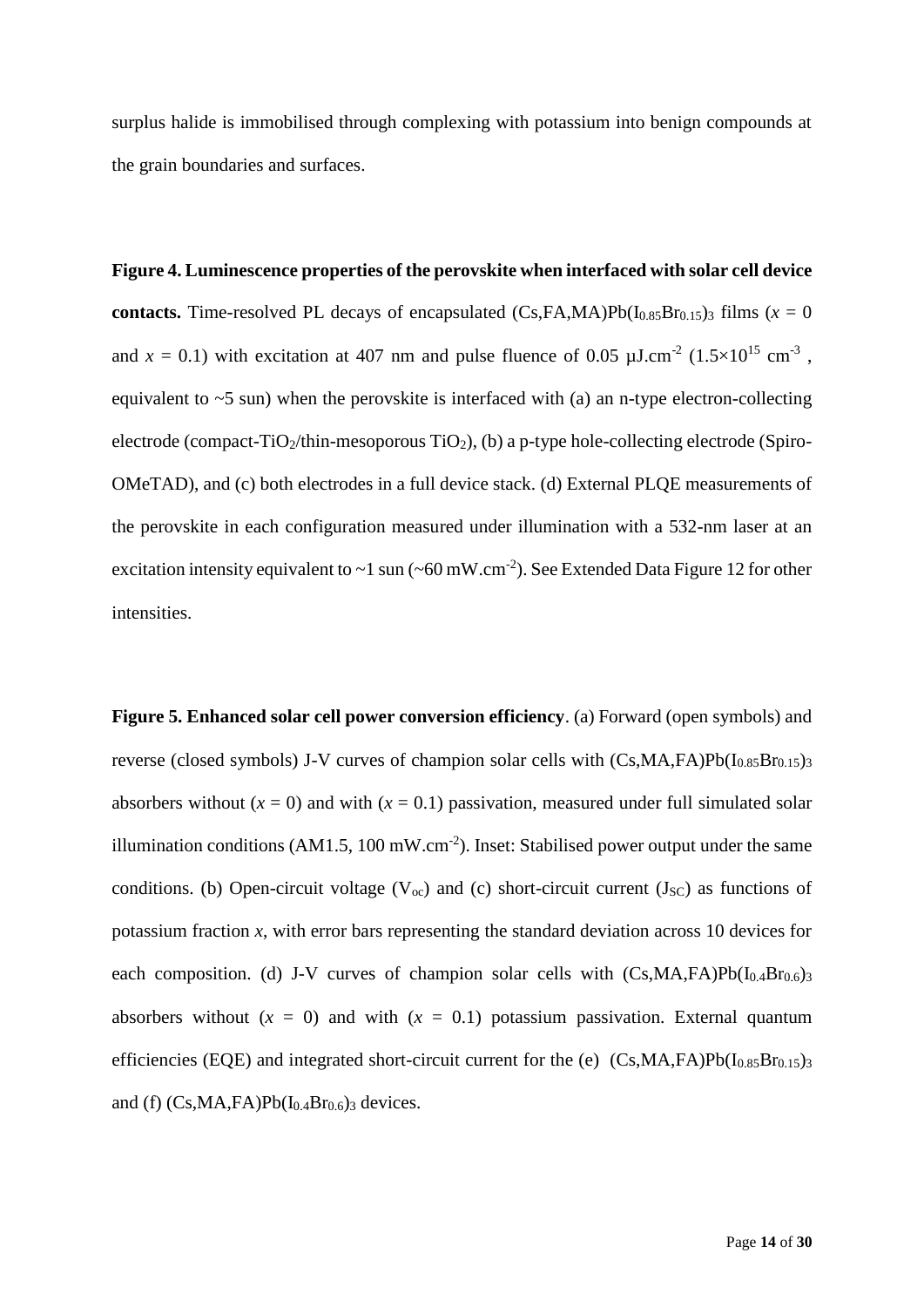surplus halide is immobilised through complexing with potassium into benign compounds at the grain boundaries and surfaces.

**Figure 4. Luminescence properties of the perovskite when interfaced with solar cell device contacts.** Time-resolved PL decays of encapsulated  $(Cs, FA, MA)Pb(I<sub>0.85</sub>Br<sub>0.15</sub>)$  films ( $x = 0$ ) and  $x = 0.1$ ) with excitation at 407 nm and pulse fluence of 0.05  $\mu$ J.cm<sup>-2</sup> (1.5×10<sup>15</sup> cm<sup>-3</sup>, equivalent to  $\sim$  5 sun) when the perovskite is interfaced with (a) an n-type electron-collecting electrode (compact-TiO<sub>2</sub>/thin-mesoporous TiO<sub>2</sub>), (b) a p-type hole-collecting electrode (Spiro-OMeTAD), and (c) both electrodes in a full device stack. (d) External PLQE measurements of the perovskite in each configuration measured under illumination with a 532-nm laser at an excitation intensity equivalent to  $\sim$ 1 sun ( $\sim$ 60 mW.cm<sup>-2</sup>). See Extended Data Figure 12 for other intensities.

**Figure 5. Enhanced solar cell power conversion efficiency**. (a) Forward (open symbols) and reverse (closed symbols) J-V curves of champion solar cells with  $(Cs, MA, FA)Pb(I_{0.85}Br_{0.15})_3$ absorbers without  $(x = 0)$  and with  $(x = 0.1)$  passivation, measured under full simulated solar illumination conditions (AM1.5, 100 mW.cm<sup>-2</sup>). Inset: Stabilised power output under the same conditions. (b) Open-circuit voltage ( $V_{\text{oc}}$ ) and (c) short-circuit current ( $J_{\text{SC}}$ ) as functions of potassium fraction  $x$ , with error bars representing the standard deviation across 10 devices for each composition. (d) J-V curves of champion solar cells with  $(Cs, MA, FA)Pb(I<sub>0.4</sub>Br<sub>0.6</sub>)<sub>3</sub>$ absorbers without  $(x = 0)$  and with  $(x = 0.1)$  potassium passivation. External quantum efficiencies (EQE) and integrated short-circuit current for the (e)  $(Cs, MA, FA)Pb(I_{0.85}Br_{0.15})_3$ and (f)  $(Cs, MA, FA)Pb(I<sub>0.4</sub>Br<sub>0.6</sub>)$ <sub>3</sub> devices.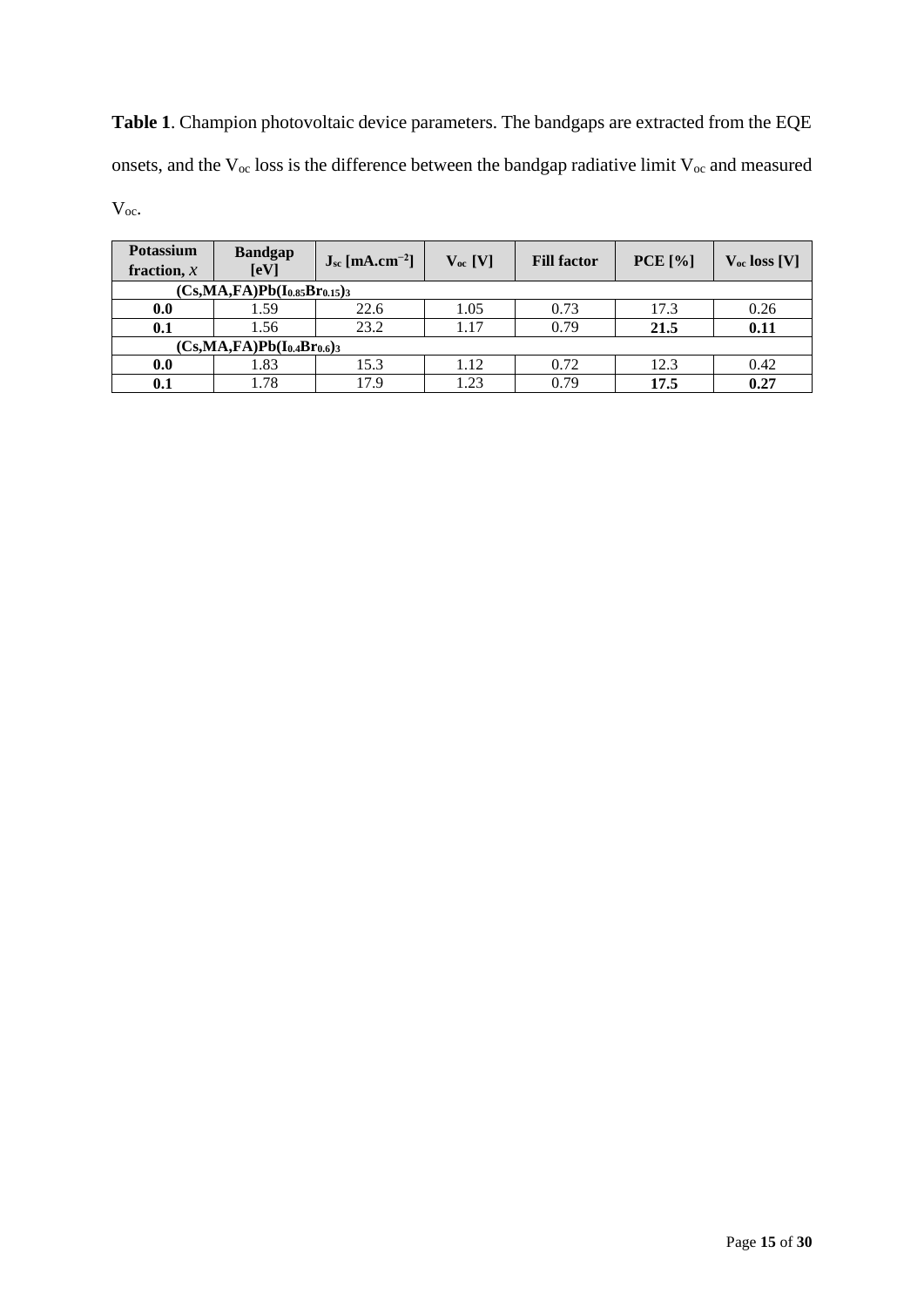**Table 1**. Champion photovoltaic device parameters. The bandgaps are extracted from the EQE onsets, and the  $V_{\infty}$  loss is the difference between the bandgap radiative limit  $V_{\infty}$  and measured Voc.

| <b>Potassium</b><br>fraction, $x$   | <b>Bandgap</b><br>[eV] | $J_{sc}$ [mA.cm <sup>-2</sup> ] | $V_{oc}$ [V] | <b>Fill factor</b> | PCE [%] | $V_{oc}$ loss [V] |
|-------------------------------------|------------------------|---------------------------------|--------------|--------------------|---------|-------------------|
| $(Cs, MA, FA)Pb(I_{0.85}Br_{0.15})$ |                        |                                 |              |                    |         |                   |
| 0.0                                 | 1.59                   | 22.6                            | 1.05         | 0.73               | 17.3    | 0.26              |
| 0.1                                 | 1.56                   | 23.2                            | 1.17         | 0.79               | 21.5    | 0.11              |
| $(Cs, MA, FA)Pb(I0.4Br0.6)$         |                        |                                 |              |                    |         |                   |
| 0.0                                 | 1.83                   | 15.3                            | 1.12         | 0.72               | 12.3    | 0.42              |
| 0.1                                 | 1.78                   | 17.9                            | 1.23         | 0.79               | 17.5    | 0.27              |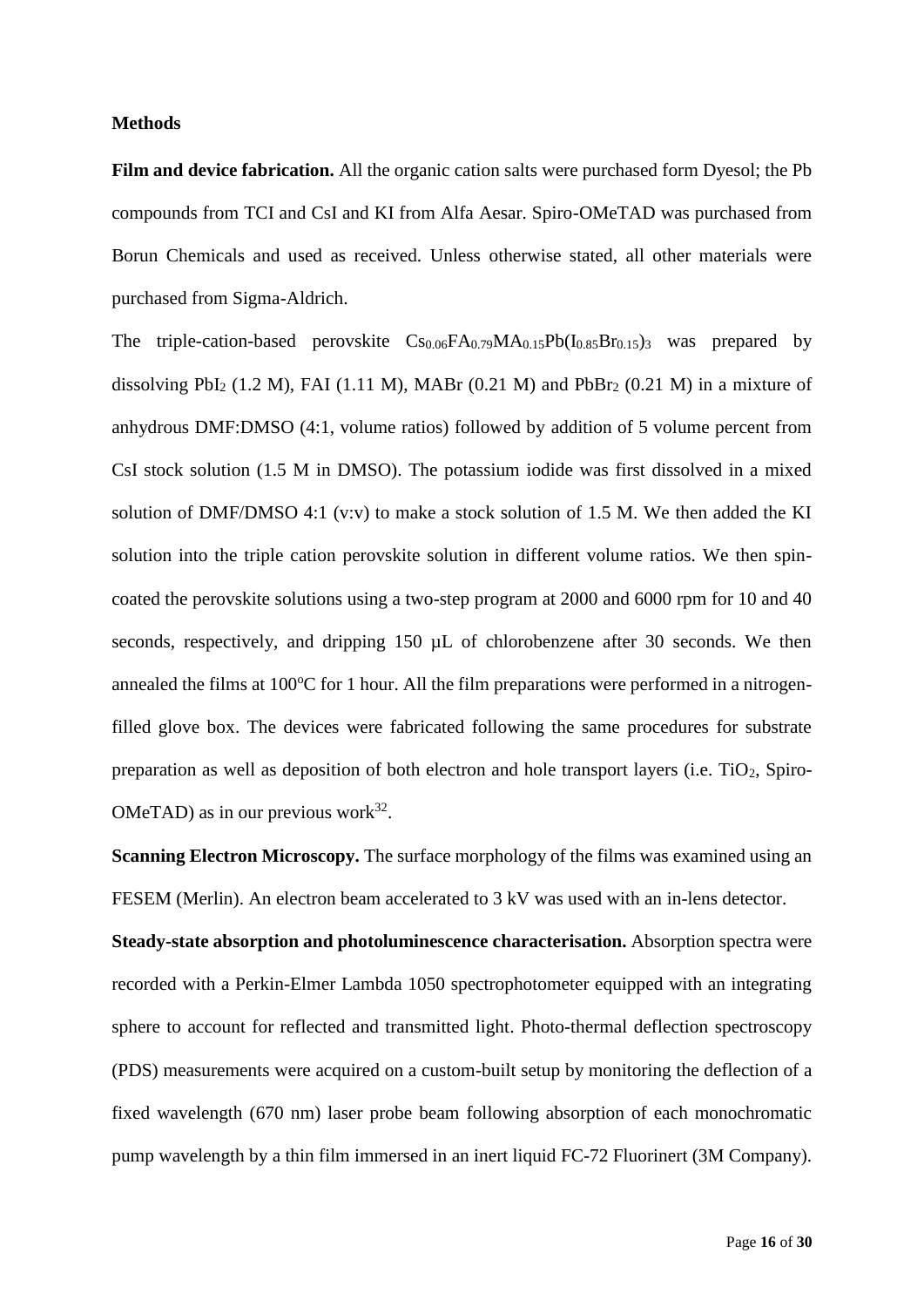### **Methods**

Film and device fabrication. All the organic cation salts were purchased form Dyesol; the Pb compounds from TCI and CsI and KI from Alfa Aesar. Spiro-OMeTAD was purchased from Borun Chemicals and used as received. Unless otherwise stated, all other materials were purchased from Sigma-Aldrich.

The triple-cation-based perovskite  $Cs_{0.06}FA_{0.79}MA_{0.15}Pb(I_{0.85}Br_{0.15})$  was prepared by dissolving PbI<sub>2</sub> (1.2 M), FAI (1.11 M), MABr (0.21 M) and PbBr<sub>2</sub> (0.21 M) in a mixture of anhydrous DMF:DMSO (4:1, volume ratios) followed by addition of 5 volume percent from CsI stock solution (1.5 M in DMSO). The potassium iodide was first dissolved in a mixed solution of DMF/DMSO 4:1 (v:v) to make a stock solution of 1.5 M. We then added the KI solution into the triple cation perovskite solution in different volume ratios. We then spincoated the perovskite solutions using a two-step program at 2000 and 6000 rpm for 10 and 40 seconds, respectively, and dripping 150  $\mu$ L of chlorobenzene after 30 seconds. We then annealed the films at  $100^{\circ}$ C for 1 hour. All the film preparations were performed in a nitrogenfilled glove box. The devices were fabricated following the same procedures for substrate preparation as well as deposition of both electron and hole transport layers (i.e.  $TiO<sub>2</sub>$ , Spiro-OMeTAD) as in our previous work $32$ .

**Scanning Electron Microscopy.** The surface morphology of the films was examined using an FESEM (Merlin). An electron beam accelerated to 3 kV was used with an in-lens detector.

**Steady-state absorption and photoluminescence characterisation.** Absorption spectra were recorded with a Perkin-Elmer Lambda 1050 spectrophotometer equipped with an integrating sphere to account for reflected and transmitted light. Photo-thermal deflection spectroscopy (PDS) measurements were acquired on a custom-built setup by monitoring the deflection of a fixed wavelength (670 nm) laser probe beam following absorption of each monochromatic pump wavelength by a thin film immersed in an inert liquid FC-72 Fluorinert (3M Company).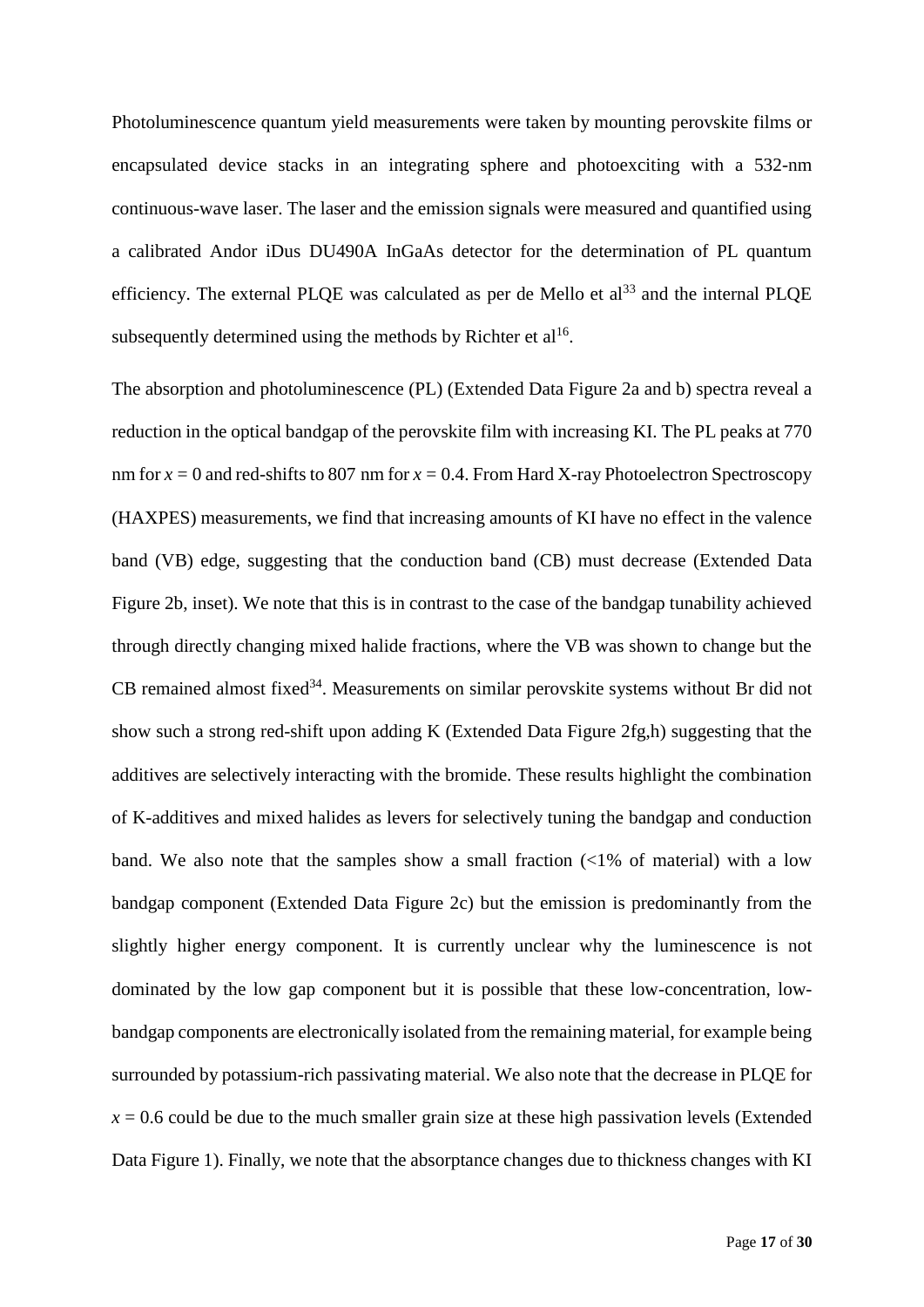Photoluminescence quantum yield measurements were taken by mounting perovskite films or encapsulated device stacks in an integrating sphere and photoexciting with a 532-nm continuous-wave laser. The laser and the emission signals were measured and quantified using a calibrated Andor iDus DU490A InGaAs detector for the determination of PL quantum efficiency. The external PLQE was calculated as per de Mello et  $al<sup>33</sup>$  and the internal PLQE subsequently determined using the methods by Richter et  $al^{16}$ .

The absorption and photoluminescence (PL) (Extended Data Figure 2a and b) spectra reveal a reduction in the optical bandgap of the perovskite film with increasing KI. The PL peaks at 770 nm for  $x = 0$  and red-shifts to 807 nm for  $x = 0.4$ . From Hard X-ray Photoelectron Spectroscopy (HAXPES) measurements, we find that increasing amounts of KI have no effect in the valence band (VB) edge, suggesting that the conduction band (CB) must decrease (Extended Data Figure 2b, inset). We note that this is in contrast to the case of the bandgap tunability achieved through directly changing mixed halide fractions, where the VB was shown to change but the CB remained almost fixed<sup>34</sup>. Measurements on similar perovskite systems without Br did not show such a strong red-shift upon adding K (Extended Data Figure 2fg,h) suggesting that the additives are selectively interacting with the bromide. These results highlight the combination of K-additives and mixed halides as levers for selectively tuning the bandgap and conduction band. We also note that the samples show a small fraction  $\langle \langle 1\% \rangle$  of material) with a low bandgap component (Extended Data Figure 2c) but the emission is predominantly from the slightly higher energy component. It is currently unclear why the luminescence is not dominated by the low gap component but it is possible that these low-concentration, lowbandgap components are electronically isolated from the remaining material, for example being surrounded by potassium-rich passivating material. We also note that the decrease in PLQE for  $x = 0.6$  could be due to the much smaller grain size at these high passivation levels (Extended Data Figure 1). Finally, we note that the absorptance changes due to thickness changes with KI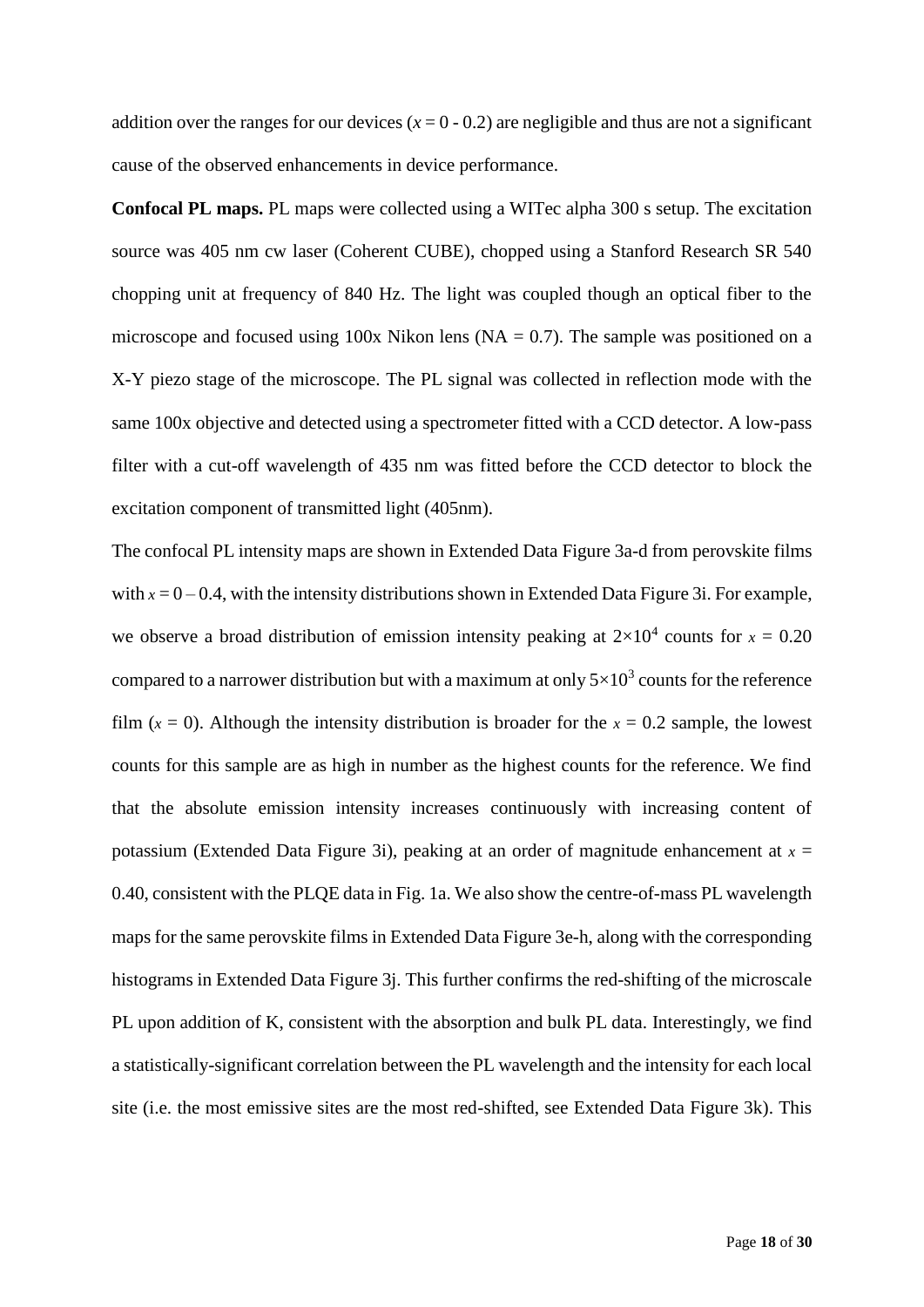addition over the ranges for our devices  $(x = 0 - 0.2)$  are negligible and thus are not a significant cause of the observed enhancements in device performance.

**Confocal PL maps.** PL maps were collected using a WITec alpha 300 s setup. The excitation source was 405 nm cw laser (Coherent CUBE), chopped using a Stanford Research SR 540 chopping unit at frequency of 840 Hz. The light was coupled though an optical fiber to the microscope and focused using 100x Nikon lens ( $NA = 0.7$ ). The sample was positioned on a X-Y piezo stage of the microscope. The PL signal was collected in reflection mode with the same 100x objective and detected using a spectrometer fitted with a CCD detector. A low-pass filter with a cut-off wavelength of 435 nm was fitted before the CCD detector to block the excitation component of transmitted light (405nm).

The confocal PL intensity maps are shown in Extended Data Figure 3a-d from perovskite films with  $x = 0 - 0.4$ , with the intensity distributions shown in Extended Data Figure 3i. For example, we observe a broad distribution of emission intensity peaking at  $2\times10^4$  counts for  $x = 0.20$ compared to a narrower distribution but with a maximum at only  $5\times10^3$  counts for the reference film  $(x = 0)$ . Although the intensity distribution is broader for the  $x = 0.2$  sample, the lowest counts for this sample are as high in number as the highest counts for the reference. We find that the absolute emission intensity increases continuously with increasing content of potassium (Extended Data Figure 3i), peaking at an order of magnitude enhancement at  $x =$ 0.40, consistent with the PLQE data in Fig. 1a. We also show the centre-of-mass PL wavelength maps for the same perovskite films in Extended Data Figure 3e-h, along with the corresponding histograms in Extended Data Figure 3j. This further confirms the red-shifting of the microscale PL upon addition of K, consistent with the absorption and bulk PL data. Interestingly, we find a statistically-significant correlation between the PL wavelength and the intensity for each local site (i.e. the most emissive sites are the most red-shifted, see Extended Data Figure 3k). This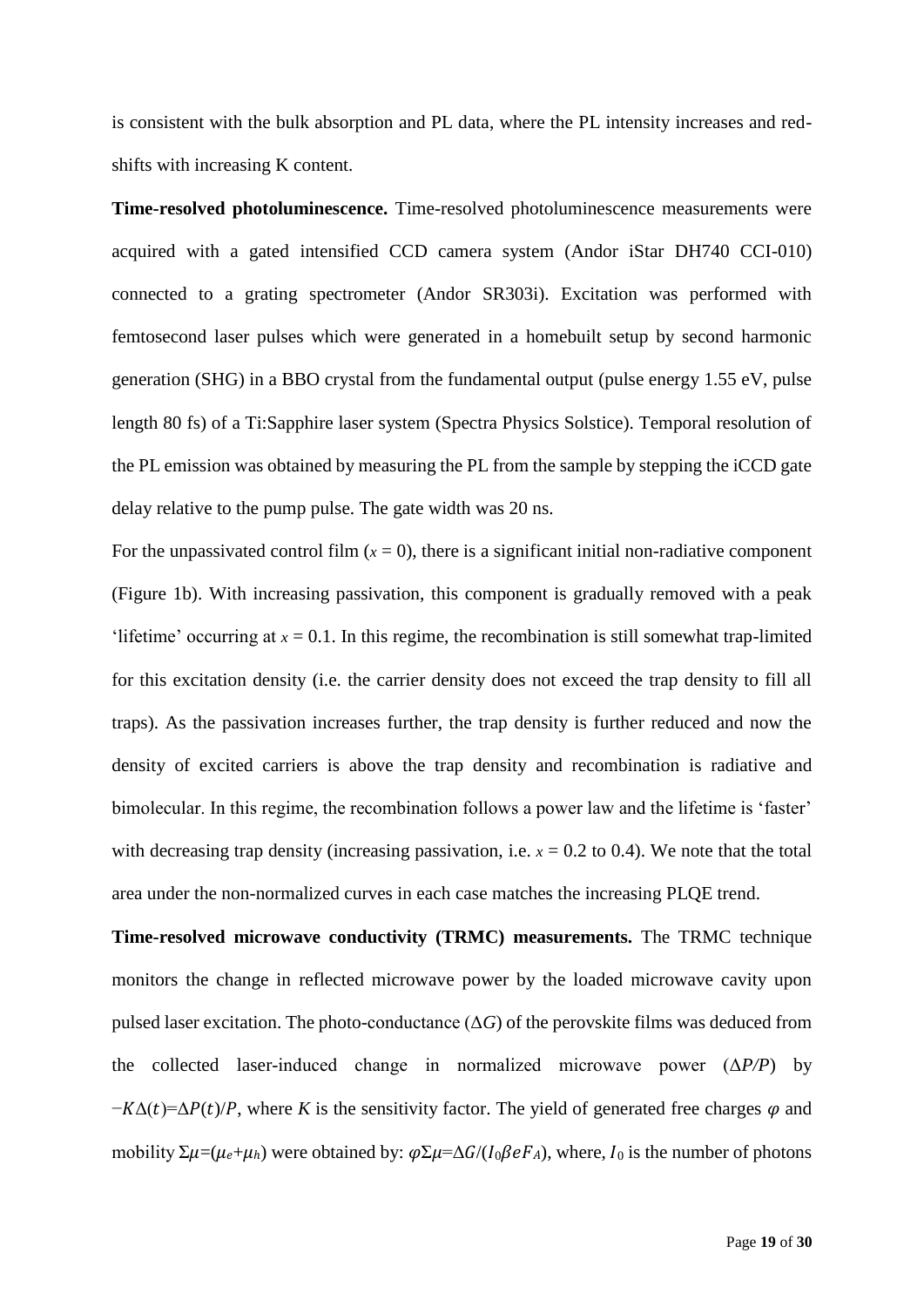is consistent with the bulk absorption and PL data, where the PL intensity increases and redshifts with increasing K content.

**Time-resolved photoluminescence.** Time-resolved photoluminescence measurements were acquired with a gated intensified CCD camera system (Andor iStar DH740 CCI-010) connected to a grating spectrometer (Andor SR303i). Excitation was performed with femtosecond laser pulses which were generated in a homebuilt setup by second harmonic generation (SHG) in a BBO crystal from the fundamental output (pulse energy 1.55 eV, pulse length 80 fs) of a Ti:Sapphire laser system (Spectra Physics Solstice). Temporal resolution of the PL emission was obtained by measuring the PL from the sample by stepping the iCCD gate delay relative to the pump pulse. The gate width was 20 ns.

For the unpassivated control film  $(x = 0)$ , there is a significant initial non-radiative component (Figure 1b). With increasing passivation, this component is gradually removed with a peak 'lifetime' occurring at  $x = 0.1$ . In this regime, the recombination is still somewhat trap-limited for this excitation density (i.e. the carrier density does not exceed the trap density to fill all traps). As the passivation increases further, the trap density is further reduced and now the density of excited carriers is above the trap density and recombination is radiative and bimolecular. In this regime, the recombination follows a power law and the lifetime is 'faster' with decreasing trap density (increasing passivation, i.e.  $x = 0.2$  to 0.4). We note that the total area under the non-normalized curves in each case matches the increasing PLQE trend.

**Time-resolved microwave conductivity (TRMC) measurements.** The TRMC technique monitors the change in reflected microwave power by the loaded microwave cavity upon pulsed laser excitation. The photo-conductance  $(\Delta G)$  of the perovskite films was deduced from the collected laser-induced change in normalized microwave power (Δ*P/P*) by  $-K\Delta(t)=\Delta P(t)/P$ , where K is the sensitivity factor. The yield of generated free charges  $\varphi$  and mobility  $\Sigma \mu = (\mu_e + \mu_h)$  were obtained by:  $\varphi \Sigma \mu = \Delta G / (I_0 \beta e F_A)$ , where,  $I_0$  is the number of photons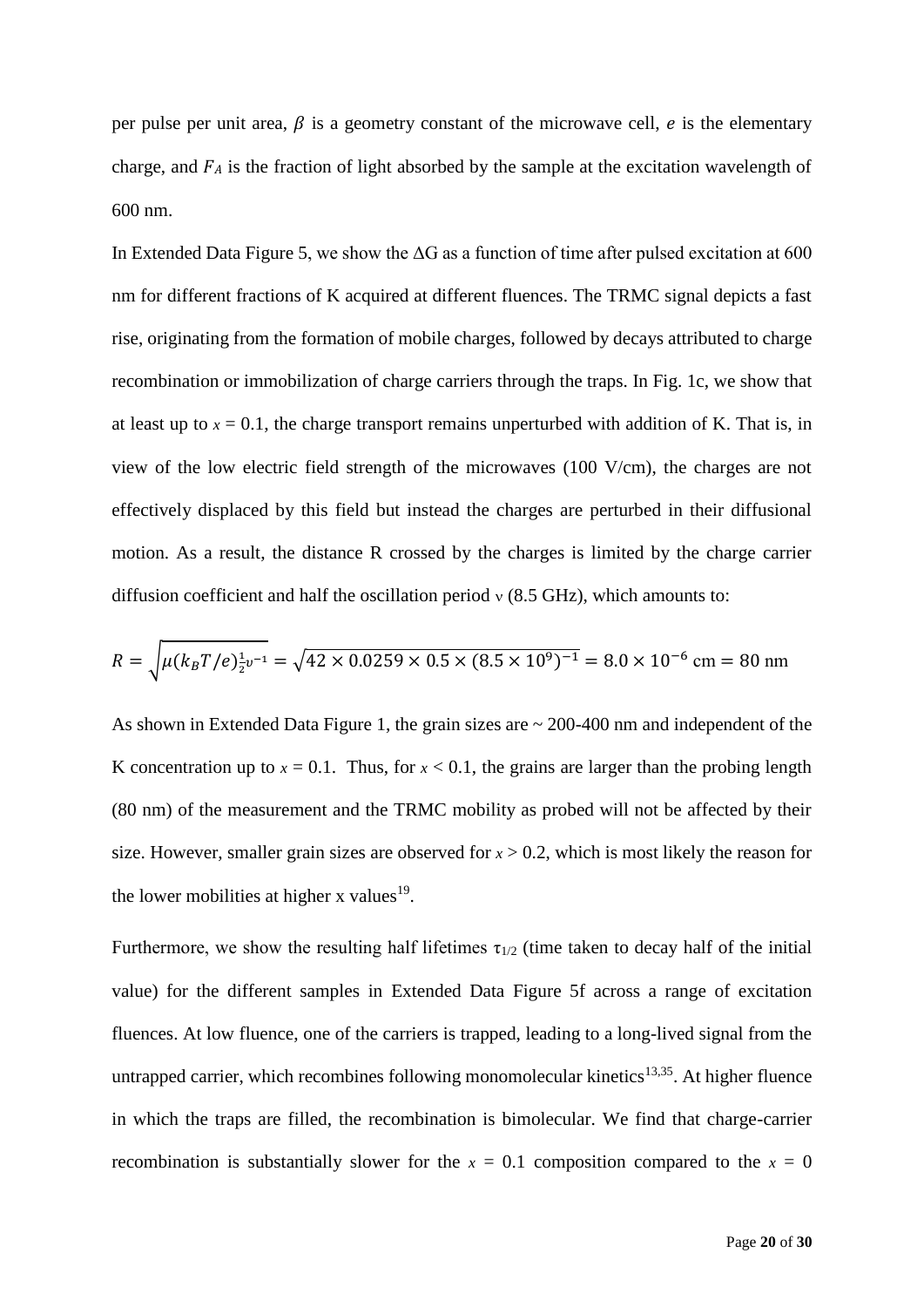per pulse per unit area,  $\beta$  is a geometry constant of the microwave cell, e is the elementary charge, and  $FA$  is the fraction of light absorbed by the sample at the excitation wavelength of 600 nm.

In Extended Data Figure 5, we show the  $\Delta G$  as a function of time after pulsed excitation at 600 nm for different fractions of K acquired at different fluences. The TRMC signal depicts a fast rise, originating from the formation of mobile charges, followed by decays attributed to charge recombination or immobilization of charge carriers through the traps. In Fig. 1c, we show that at least up to  $x = 0.1$ , the charge transport remains unperturbed with addition of K. That is, in view of the low electric field strength of the microwaves (100 V/cm), the charges are not effectively displaced by this field but instead the charges are perturbed in their diffusional motion. As a result, the distance R crossed by the charges is limited by the charge carrier diffusion coefficient and half the oscillation period  $v$  (8.5 GHz), which amounts to:

$$
R = \sqrt{\mu (k_B T / e)^{\frac{1}{2}v^{-1}}} = \sqrt{42 \times 0.0259 \times 0.5 \times (8.5 \times 10^9)^{-1}} = 8.0 \times 10^{-6} \text{ cm} = 80 \text{ nm}
$$

As shown in Extended Data Figure 1, the grain sizes are ~ 200-400 nm and independent of the K concentration up to  $x = 0.1$ . Thus, for  $x < 0.1$ , the grains are larger than the probing length (80 nm) of the measurement and the TRMC mobility as probed will not be affected by their size. However, smaller grain sizes are observed for  $x > 0.2$ , which is most likely the reason for the lower mobilities at higher x values<sup>19</sup>.

Furthermore, we show the resulting half lifetimes  $\tau_{1/2}$  (time taken to decay half of the initial value) for the different samples in Extended Data Figure 5f across a range of excitation fluences. At low fluence, one of the carriers is trapped, leading to a long-lived signal from the untrapped carrier, which recombines following monomolecular kinetics<sup>13,35</sup>. At higher fluence in which the traps are filled, the recombination is bimolecular. We find that charge-carrier recombination is substantially slower for the  $x = 0.1$  composition compared to the  $x = 0$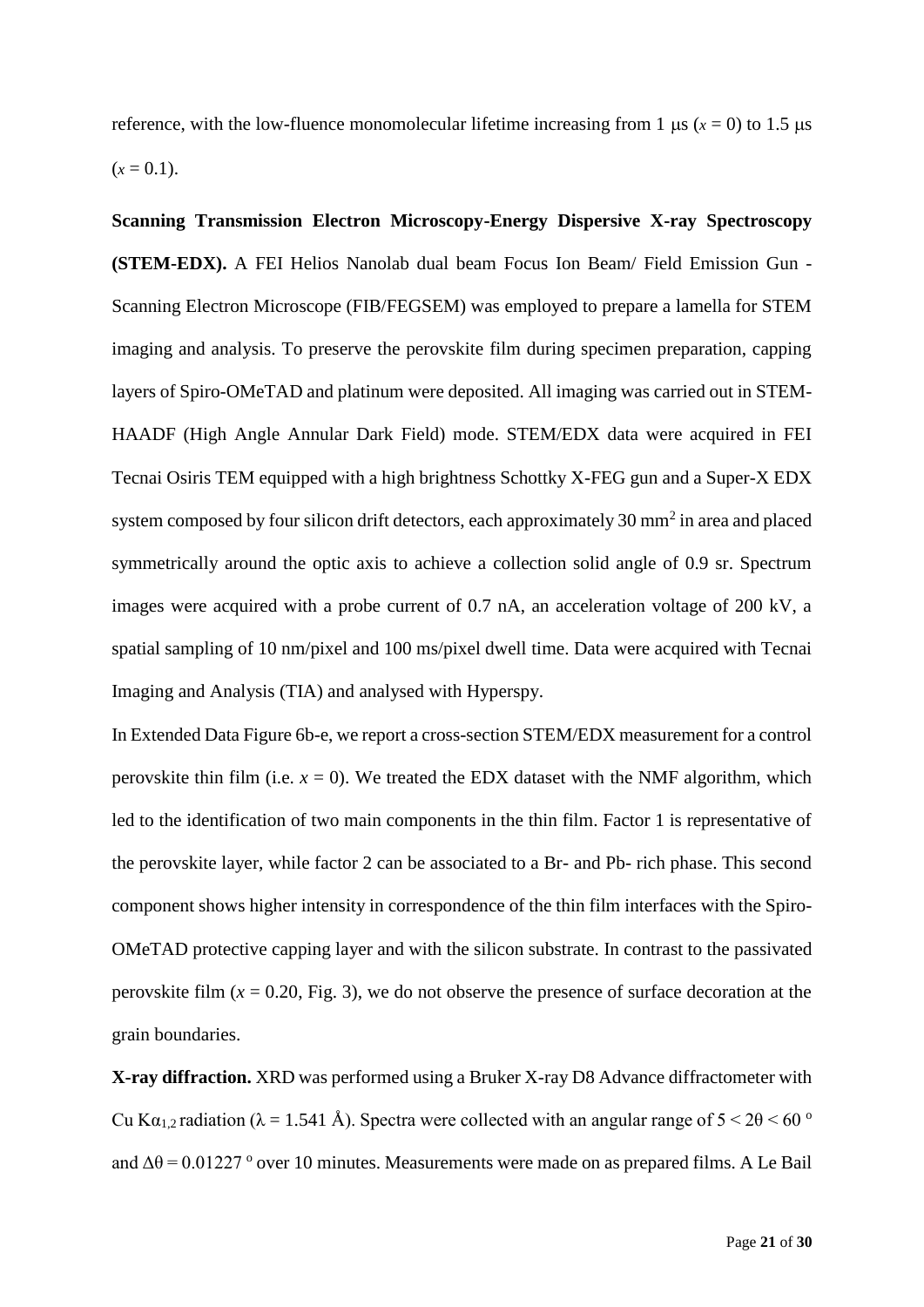reference, with the low-fluence monomolecular lifetime increasing from 1  $\mu$ s ( $x = 0$ ) to 1.5  $\mu$ s  $(x = 0.1)$ .

**Scanning Transmission Electron Microscopy-Energy Dispersive X-ray Spectroscopy (STEM-EDX).** A FEI Helios Nanolab dual beam Focus Ion Beam/ Field Emission Gun - Scanning Electron Microscope (FIB/FEGSEM) was employed to prepare a lamella for STEM imaging and analysis. To preserve the perovskite film during specimen preparation, capping layers of Spiro-OMeTAD and platinum were deposited. All imaging was carried out in STEM-HAADF (High Angle Annular Dark Field) mode. STEM/EDX data were acquired in FEI Tecnai Osiris TEM equipped with a high brightness Schottky X-FEG gun and a Super-X EDX system composed by four silicon drift detectors, each approximately  $30 \text{ mm}^2$  in area and placed symmetrically around the optic axis to achieve a collection solid angle of 0.9 sr. Spectrum images were acquired with a probe current of 0.7 nA, an acceleration voltage of 200 kV, a spatial sampling of 10 nm/pixel and 100 ms/pixel dwell time. Data were acquired with Tecnai Imaging and Analysis (TIA) and analysed with Hyperspy.

In Extended Data Figure 6b-e, we report a cross-section STEM/EDX measurement for a control perovskite thin film (i.e.  $x = 0$ ). We treated the EDX dataset with the NMF algorithm, which led to the identification of two main components in the thin film. Factor 1 is representative of the perovskite layer, while factor 2 can be associated to a Br- and Pb- rich phase. This second component shows higher intensity in correspondence of the thin film interfaces with the Spiro-OMeTAD protective capping layer and with the silicon substrate. In contrast to the passivated perovskite film  $(x = 0.20,$  Fig. 3), we do not observe the presence of surface decoration at the grain boundaries.

**X-ray diffraction.** XRD was performed using a Bruker X-ray D8 Advance diffractometer with Cu K $\alpha_{1,2}$  radiation ( $\lambda = 1.541$  Å). Spectra were collected with an angular range of  $5 < 2\theta < 60$  ° and  $\Delta\theta$  = 0.01227 ° over 10 minutes. Measurements were made on as prepared films. A Le Bail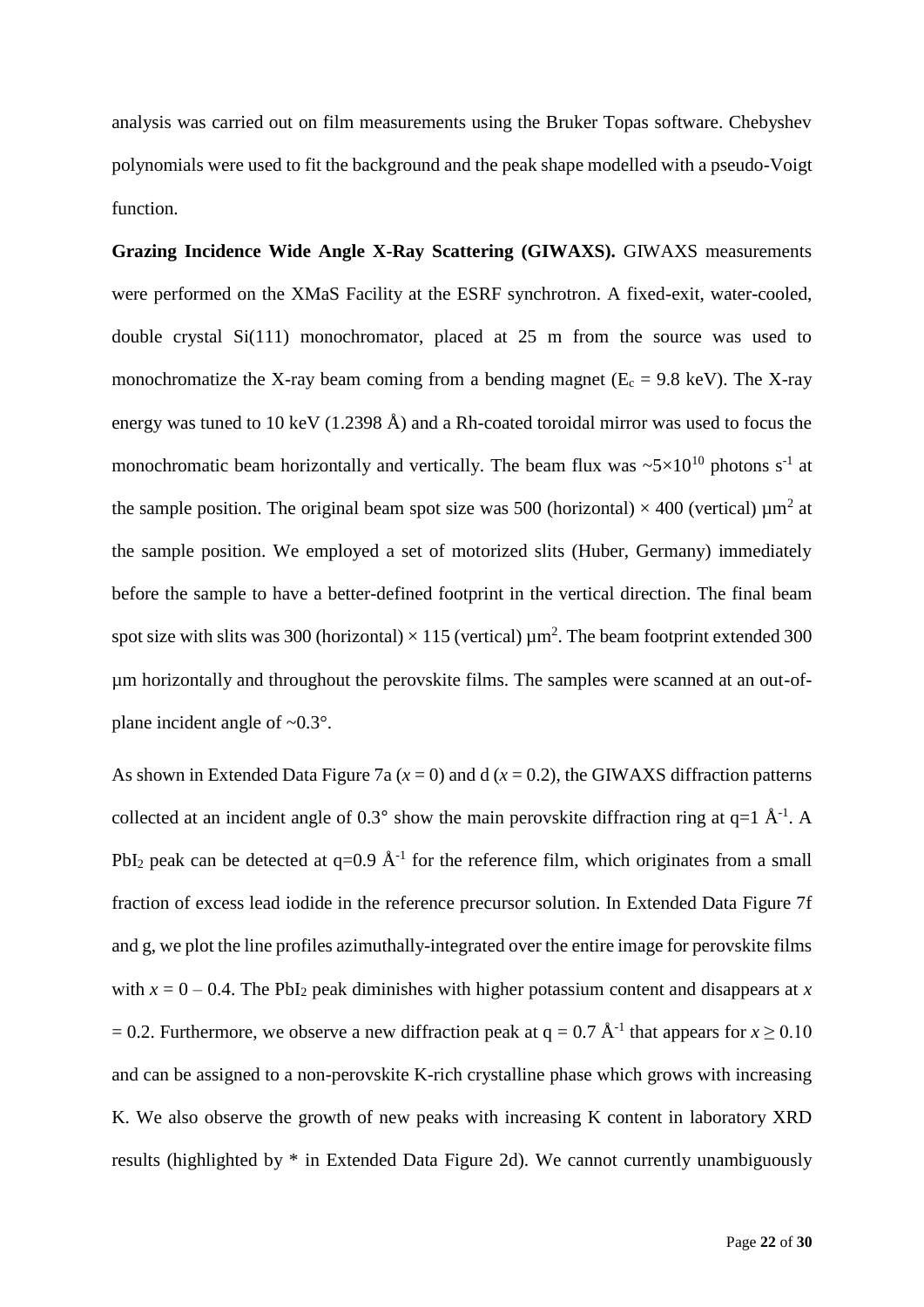analysis was carried out on film measurements using the Bruker Topas software. Chebyshev polynomials were used to fit the background and the peak shape modelled with a pseudo-Voigt function.

**Grazing Incidence Wide Angle X-Ray Scattering (GIWAXS).** GIWAXS measurements were performed on the XMaS Facility at the ESRF synchrotron. A fixed-exit, water-cooled, double crystal Si(111) monochromator, placed at 25 m from the source was used to monochromatize the X-ray beam coming from a bending magnet ( $E_c = 9.8 \text{ keV}$ ). The X-ray energy was tuned to 10 keV (1.2398 Å) and a Rh-coated toroidal mirror was used to focus the monochromatic beam horizontally and vertically. The beam flux was  $\sim 5 \times 10^{10}$  photons s<sup>-1</sup> at the sample position. The original beam spot size was 500 (horizontal)  $\times$  400 (vertical)  $\mu$ m<sup>2</sup> at the sample position. We employed a set of motorized slits (Huber, Germany) immediately before the sample to have a better-defined footprint in the vertical direction. The final beam spot size with slits was 300 (horizontal)  $\times$  115 (vertical)  $\mu$ m<sup>2</sup>. The beam footprint extended 300 µm horizontally and throughout the perovskite films. The samples were scanned at an out-ofplane incident angle of  $\sim 0.3^\circ$ .

As shown in Extended Data Figure 7a ( $x = 0$ ) and d ( $x = 0.2$ ), the GIWAXS diffraction patterns collected at an incident angle of 0.3° show the main perovskite diffraction ring at  $q=1$   $\AA^{-1}$ . A PbI<sub>2</sub> peak can be detected at  $q=0.9 \text{ Å}^{-1}$  for the reference film, which originates from a small fraction of excess lead iodide in the reference precursor solution. In Extended Data Figure 7f and g, we plot the line profiles azimuthally-integrated over the entire image for perovskite films with  $x = 0 - 0.4$ . The PbI<sub>2</sub> peak diminishes with higher potassium content and disappears at x  $= 0.2$ . Furthermore, we observe a new diffraction peak at  $q = 0.7 \text{ Å}^{-1}$  that appears for  $x \ge 0.10$ and can be assigned to a non-perovskite K-rich crystalline phase which grows with increasing K. We also observe the growth of new peaks with increasing K content in laboratory XRD results (highlighted by \* in Extended Data Figure 2d). We cannot currently unambiguously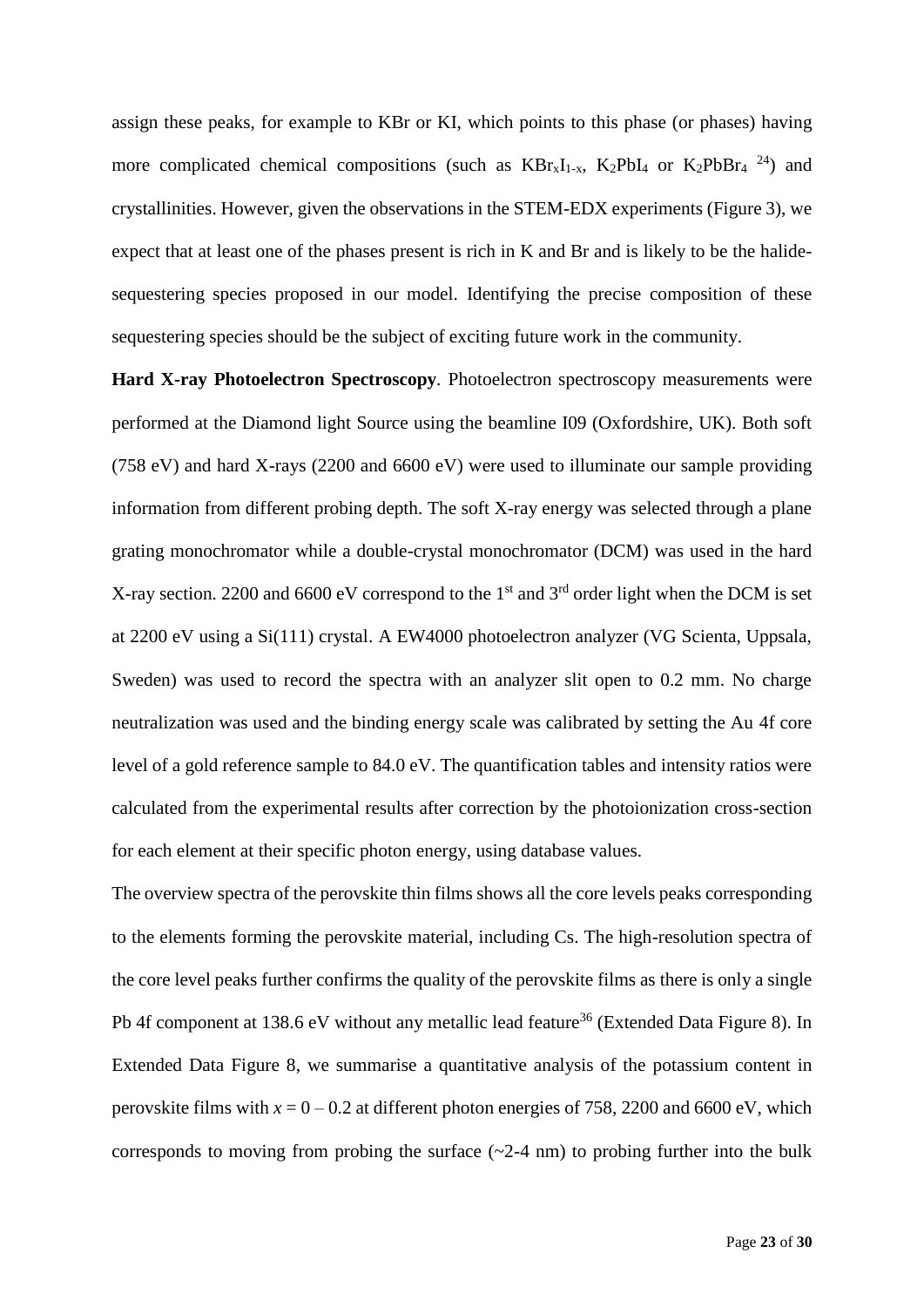assign these peaks, for example to KBr or KI, which points to this phase (or phases) having more complicated chemical compositions (such as  $KBr_xI_{1-x}$ , K<sub>2</sub>PbI<sub>4</sub> or K<sub>2</sub>PbBr<sub>4</sub><sup>24</sup>) and crystallinities. However, given the observations in the STEM-EDX experiments (Figure 3), we expect that at least one of the phases present is rich in K and Br and is likely to be the halidesequestering species proposed in our model. Identifying the precise composition of these sequestering species should be the subject of exciting future work in the community.

**Hard X-ray Photoelectron Spectroscopy***.* Photoelectron spectroscopy measurements were performed at the Diamond light Source using the beamline I09 (Oxfordshire, UK). Both soft (758 eV) and hard X-rays (2200 and 6600 eV) were used to illuminate our sample providing information from different probing depth. The soft X-ray energy was selected through a plane grating monochromator while a double-crystal monochromator (DCM) was used in the hard X-ray section. 2200 and 6600 eV correspond to the 1<sup>st</sup> and 3<sup>rd</sup> order light when the DCM is set at 2200 eV using a Si(111) crystal. A EW4000 photoelectron analyzer (VG Scienta, Uppsala, Sweden) was used to record the spectra with an analyzer slit open to 0.2 mm. No charge neutralization was used and the binding energy scale was calibrated by setting the Au 4f core level of a gold reference sample to 84.0 eV. The quantification tables and intensity ratios were calculated from the experimental results after correction by the photoionization cross-section for each element at their specific photon energy, using database values.

The overview spectra of the perovskite thin films shows all the core levels peaks corresponding to the elements forming the perovskite material, including Cs. The high-resolution spectra of the core level peaks further confirms the quality of the perovskite films as there is only a single Pb 4f component at 138.6 eV without any metallic lead feature<sup>36</sup> (Extended Data Figure 8). In Extended Data Figure 8, we summarise a quantitative analysis of the potassium content in perovskite films with  $x = 0 - 0.2$  at different photon energies of 758, 2200 and 6600 eV, which corresponds to moving from probing the surface  $(\sim 2-4 \text{ nm})$  to probing further into the bulk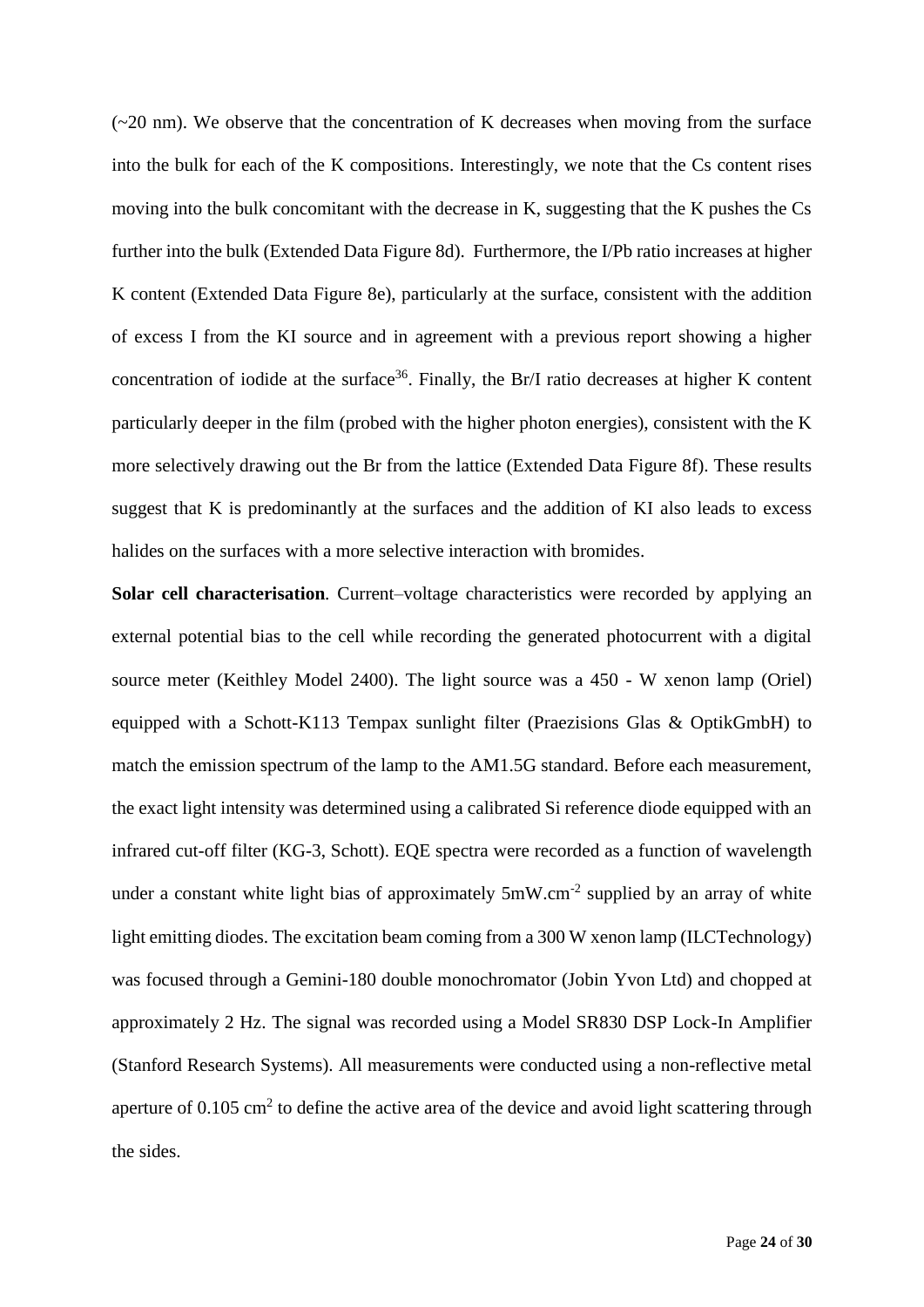$(-20 \text{ nm})$ . We observe that the concentration of K decreases when moving from the surface into the bulk for each of the K compositions. Interestingly, we note that the Cs content rises moving into the bulk concomitant with the decrease in K, suggesting that the K pushes the Cs further into the bulk (Extended Data Figure 8d). Furthermore, the I/Pb ratio increases at higher K content (Extended Data Figure 8e), particularly at the surface, consistent with the addition of excess I from the KI source and in agreement with a previous report showing a higher concentration of iodide at the surface<sup>36</sup>. Finally, the Br/I ratio decreases at higher K content particularly deeper in the film (probed with the higher photon energies), consistent with the K more selectively drawing out the Br from the lattice (Extended Data Figure 8f). These results suggest that K is predominantly at the surfaces and the addition of KI also leads to excess halides on the surfaces with a more selective interaction with bromides.

**Solar cell characterisation***.* Current–voltage characteristics were recorded by applying an external potential bias to the cell while recording the generated photocurrent with a digital source meter (Keithley Model 2400). The light source was a 450 - W xenon lamp (Oriel) equipped with a Schott-K113 Tempax sunlight filter (Praezisions Glas & OptikGmbH) to match the emission spectrum of the lamp to the AM1.5G standard. Before each measurement, the exact light intensity was determined using a calibrated Si reference diode equipped with an infrared cut-off filter (KG-3, Schott). EQE spectra were recorded as a function of wavelength under a constant white light bias of approximately  $5mW.cm^{-2}$  supplied by an array of white light emitting diodes. The excitation beam coming from a 300 W xenon lamp (ILCTechnology) was focused through a Gemini-180 double monochromator (Jobin Yvon Ltd) and chopped at approximately 2 Hz. The signal was recorded using a Model SR830 DSP Lock-In Amplifier (Stanford Research Systems). All measurements were conducted using a non-reflective metal aperture of  $0.105 \text{ cm}^2$  to define the active area of the device and avoid light scattering through the sides.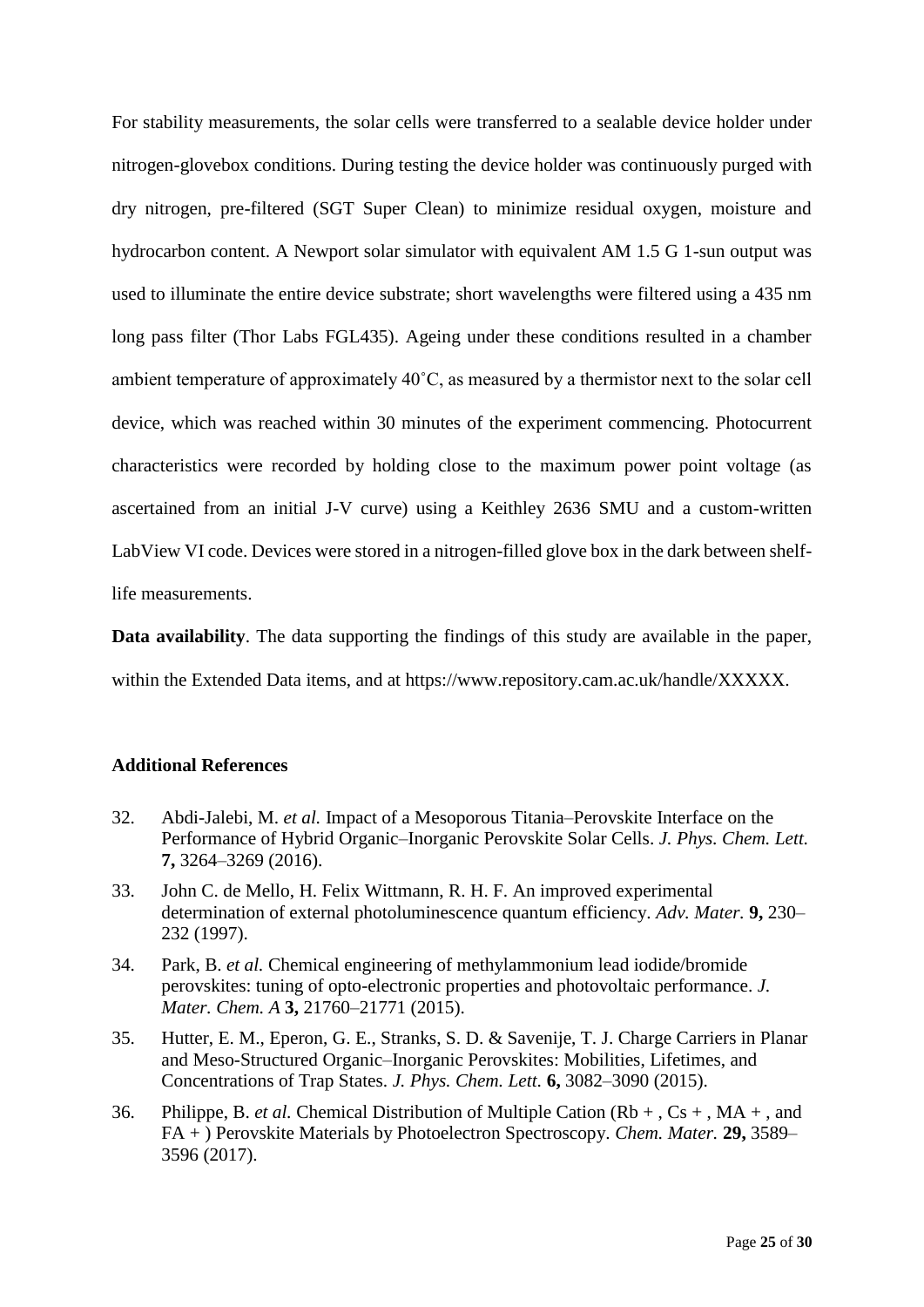For stability measurements, the solar cells were transferred to a sealable device holder under nitrogen-glovebox conditions. During testing the device holder was continuously purged with dry nitrogen, pre-filtered (SGT Super Clean) to minimize residual oxygen, moisture and hydrocarbon content. A Newport solar simulator with equivalent AM 1.5 G 1-sun output was used to illuminate the entire device substrate; short wavelengths were filtered using a 435 nm long pass filter (Thor Labs FGL435). Ageing under these conditions resulted in a chamber ambient temperature of approximately 40˚C, as measured by a thermistor next to the solar cell device, which was reached within 30 minutes of the experiment commencing. Photocurrent characteristics were recorded by holding close to the maximum power point voltage (as ascertained from an initial J-V curve) using a Keithley 2636 SMU and a custom-written LabView VI code. Devices were stored in a nitrogen-filled glove box in the dark between shelflife measurements.

**Data availability**. The data supporting the findings of this study are available in the paper, within the Extended Data items, and at https://www.repository.cam.ac.uk/handle/XXXXX.

### **Additional References**

- 32. Abdi-Jalebi, M. *et al.* Impact of a Mesoporous Titania–Perovskite Interface on the Performance of Hybrid Organic–Inorganic Perovskite Solar Cells. *J. Phys. Chem. Lett.* **7,** 3264–3269 (2016).
- 33. John C. de Mello, H. Felix Wittmann, R. H. F. An improved experimental determination of external photoluminescence quantum efficiency. *Adv. Mater.* **9,** 230– 232 (1997).
- 34. Park, B. *et al.* Chemical engineering of methylammonium lead iodide/bromide perovskites: tuning of opto-electronic properties and photovoltaic performance. *J. Mater. Chem. A* **3,** 21760–21771 (2015).
- 35. Hutter, E. M., Eperon, G. E., Stranks, S. D. & Savenije, T. J. Charge Carriers in Planar and Meso-Structured Organic–Inorganic Perovskites: Mobilities, Lifetimes, and Concentrations of Trap States. *J. Phys. Chem. Lett.* **6,** 3082–3090 (2015).
- 36. Philippe, B. *et al.* Chemical Distribution of Multiple Cation (Rb + , Cs + , MA + , and FA + ) Perovskite Materials by Photoelectron Spectroscopy. *Chem. Mater.* **29,** 3589– 3596 (2017).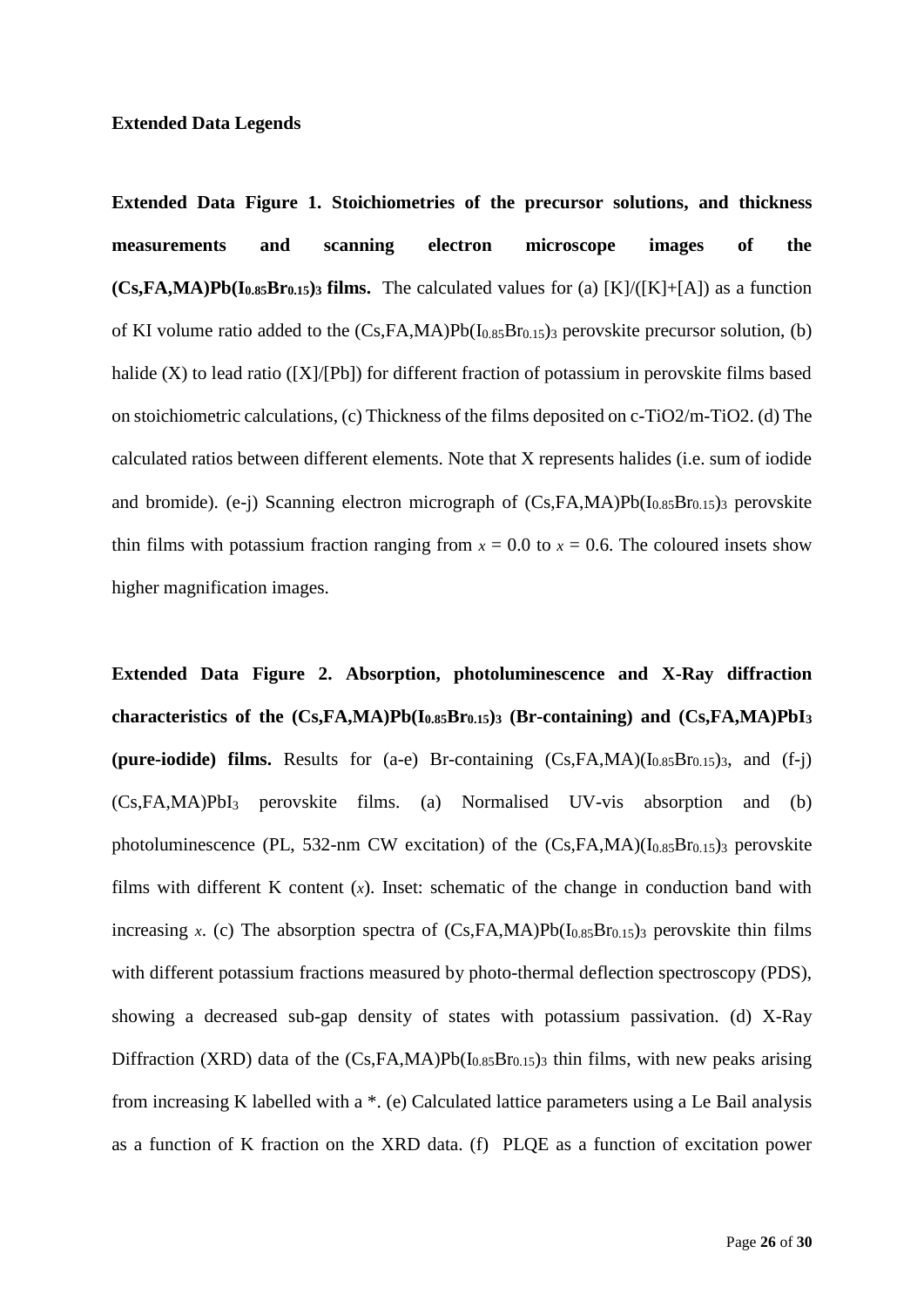### **Extended Data Legends**

**Extended Data Figure 1. Stoichiometries of the precursor solutions, and thickness measurements and scanning electron microscope images of the**   $(Cs,FA,MA)Pb(I<sub>0.85</sub>Br<sub>0.15</sub>)$ <sup>3</sup> **films.** The calculated values for (a)  $[K]/([K]+[A])$  as a function of KI volume ratio added to the  $(Cs, FA, MA)Pb(I_{0.85}Br_{0.15})$  perovskite precursor solution, (b) halide (X) to lead ratio ([X]/[Pb]) for different fraction of potassium in perovskite films based on stoichiometric calculations, (c) Thickness of the films deposited on c-TiO2/m-TiO2. (d) The calculated ratios between different elements. Note that X represents halides (i.e. sum of iodide and bromide). (e-j) Scanning electron micrograph of  $(Cs,FA,MA)Pb(I<sub>0.85</sub>Br<sub>0.15</sub>)$ <sub>3</sub> perovskite thin films with potassium fraction ranging from  $x = 0.0$  to  $x = 0.6$ . The coloured insets show higher magnification images.

**Extended Data Figure 2. Absorption, photoluminescence and X-Ray diffraction characteristics of the (Cs,FA,MA)Pb(I0.85Br0.15)<sup>3</sup> (Br-containing) and (Cs,FA,MA)PbI<sup>3</sup> (pure-iodide) films.** Results for (a-e) Br-containing  $(Cs,FA,MA)(I_{0.85}Br_{0.15})_3$ , and  $(f-i)$ (Cs,FA,MA)PbI<sup>3</sup> perovskite films. (a) Normalised UV-vis absorption and (b) photoluminescence (PL, 532-nm CW excitation) of the  $(Cs,FA,MA)(I<sub>0.85</sub>Br<sub>0.15</sub>)$ <sub>3</sub> perovskite films with different K content (*x*). Inset: schematic of the change in conduction band with increasing *x*. (c) The absorption spectra of  $(Cs, FA, MA)Pb(I<sub>0.85</sub>Br<sub>0.15</sub>)$ <sub>3</sub> perovskite thin films with different potassium fractions measured by photo-thermal deflection spectroscopy (PDS), showing a decreased sub-gap density of states with potassium passivation. (d) X-Ray Diffraction (XRD) data of the  $(Cs,FA,MA)Pb(I_{0.85}Br_{0.15})_3$  thin films, with new peaks arising from increasing K labelled with a \*. (e) Calculated lattice parameters using a Le Bail analysis as a function of K fraction on the XRD data. (f) PLQE as a function of excitation power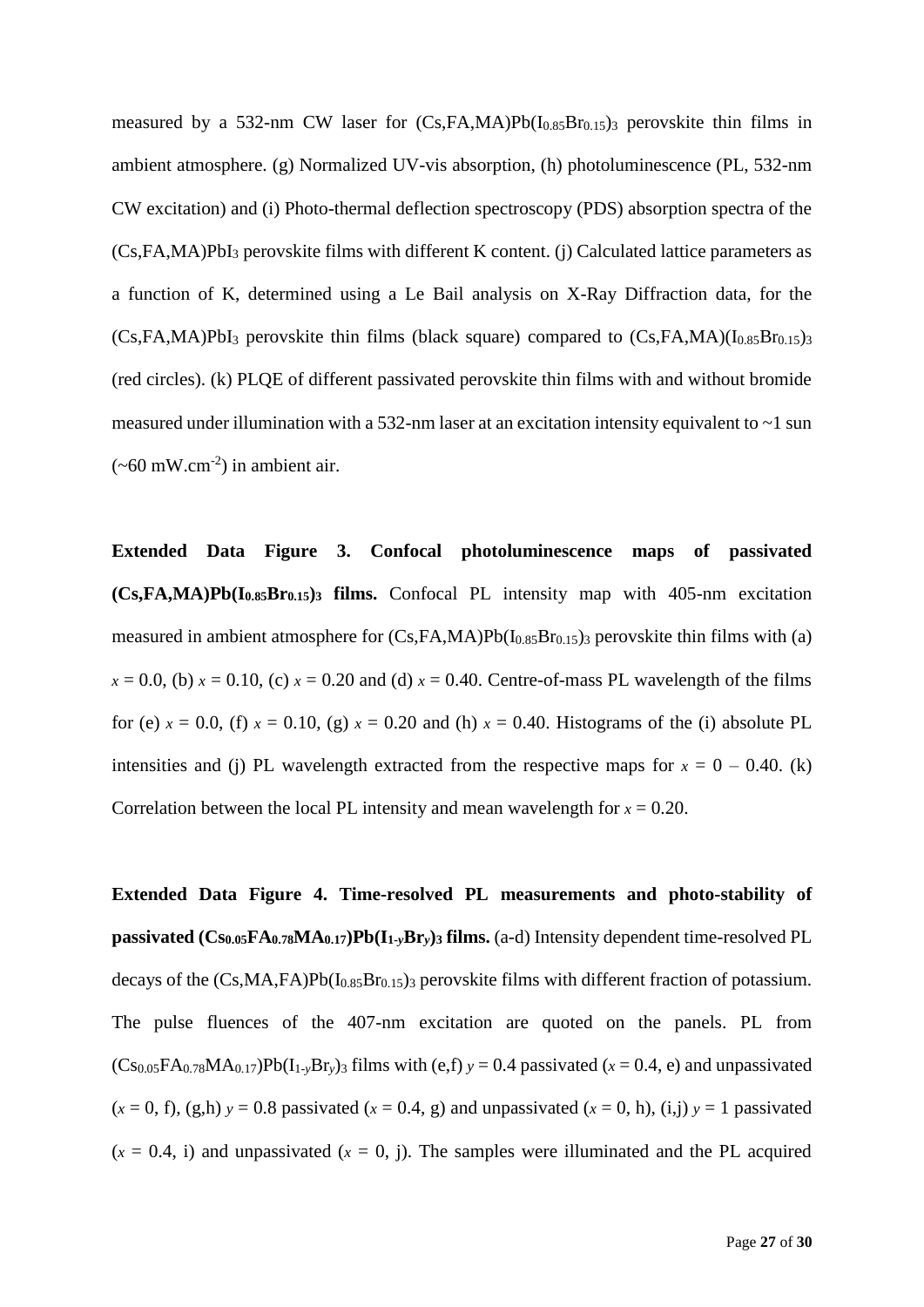measured by a 532-nm CW laser for  $(Cs,FA,MA)Pb(I<sub>0.85</sub>Br<sub>0.15</sub>)$  perovskite thin films in ambient atmosphere. (g) Normalized UV-vis absorption, (h) photoluminescence (PL, 532-nm CW excitation) and (i) Photo-thermal deflection spectroscopy (PDS) absorption spectra of the (Cs,FA,MA)PbI<sup>3</sup> perovskite films with different K content. (j) Calculated lattice parameters as a function of K, determined using a Le Bail analysis on X-Ray Diffraction data, for the  $(Cs,FA,MA)PbI<sub>3</sub>$  perovskite thin films (black square) compared to  $(Cs,FA,MA)(I<sub>0.85</sub>Br<sub>0.15</sub>)<sub>3</sub>$ (red circles). (k) PLQE of different passivated perovskite thin films with and without bromide measured under illumination with a 532-nm laser at an excitation intensity equivalent to ~1 sun  $({\sim}60 \text{ mW.cm}^2)$  in ambient air.

**Extended Data Figure 3. Confocal photoluminescence maps of passivated (Cs,FA,MA)Pb(I0.85Br0.15)<sup>3</sup> films.** Confocal PL intensity map with 405-nm excitation measured in ambient atmosphere for  $(Cs,FA,MA)Pb(I<sub>0.85</sub>Br<sub>0.15</sub>)$  perovskite thin films with (a)  $x = 0.0$ , (b)  $x = 0.10$ , (c)  $x = 0.20$  and (d)  $x = 0.40$ . Centre-of-mass PL wavelength of the films for (e)  $x = 0.0$ , (f)  $x = 0.10$ , (g)  $x = 0.20$  and (h)  $x = 0.40$ . Histograms of the (i) absolute PL intensities and (j) PL wavelength extracted from the respective maps for  $x = 0 - 0.40$ . (k) Correlation between the local PL intensity and mean wavelength for  $x = 0.20$ .

**Extended Data Figure 4. Time-resolved PL measurements and photo-stability of passivated (Cs0.05FA0.78MA0.17)Pb(I1-***y***Br***y***)<sup>3</sup> films.** (a-d) Intensity dependent time-resolved PL decays of the  $(Cs, MA, FA)Pb(I<sub>0.85</sub>Br<sub>0.15</sub>)$  perovskite films with different fraction of potassium. The pulse fluences of the 407-nm excitation are quoted on the panels. PL from  $(Cs_{0.05}FA_{0.78}MA_{0.17})Pb(I_{1-y}Br_y)$ <sub>3</sub> films with (e,f)  $y = 0.4$  passivated ( $x = 0.4$ , e) and unpassivated  $(x = 0, f)$ ,  $(g,h)$   $y = 0.8$  passivated  $(x = 0.4, g)$  and unpassivated  $(x = 0, h)$ ,  $(i,j)$   $y = 1$  passivated  $(x = 0.4, i)$  and unpassivated  $(x = 0, i)$ . The samples were illuminated and the PL acquired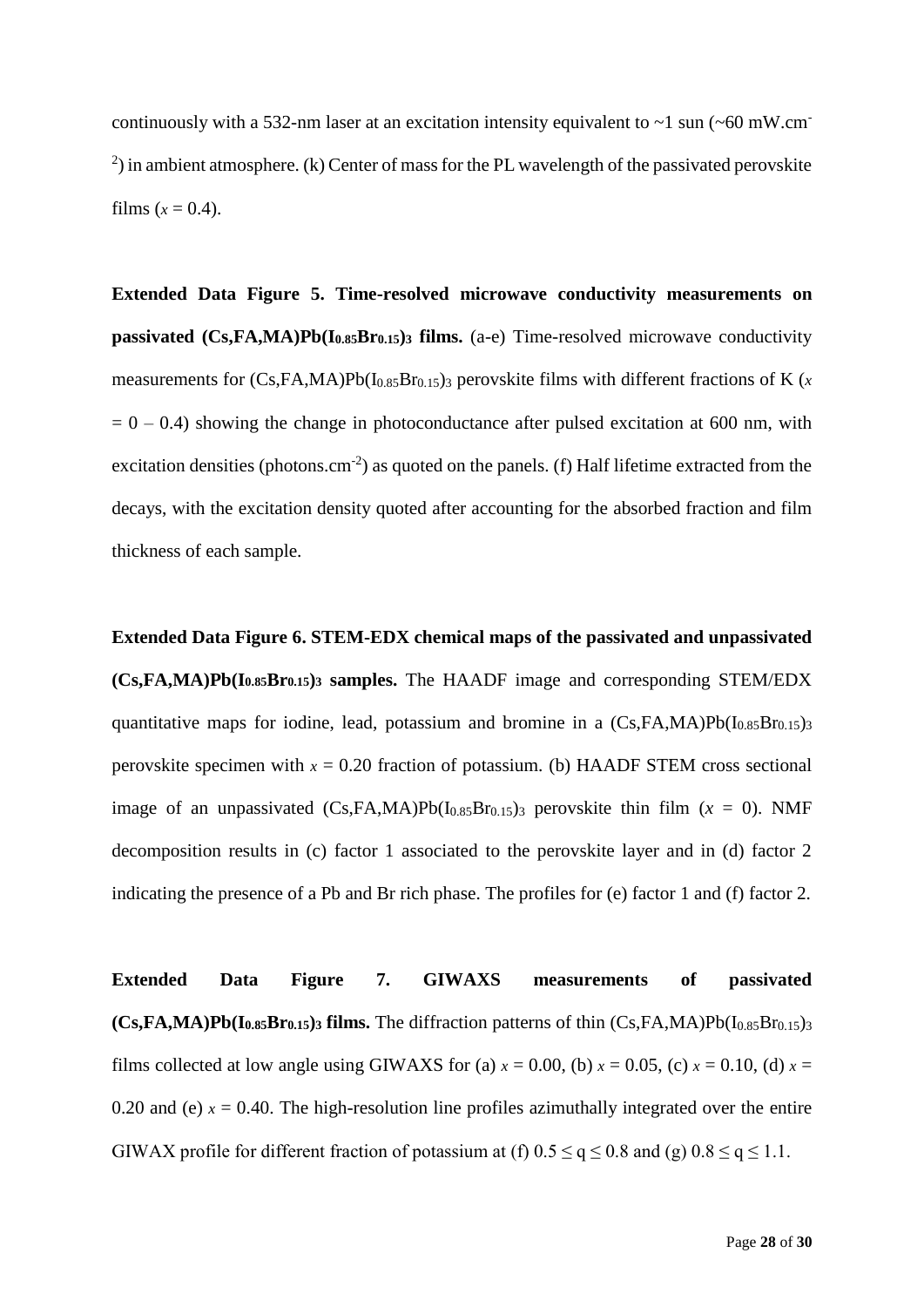continuously with a 532-nm laser at an excitation intensity equivalent to  $\sim$ 1 sun ( $\sim$ 60 mW.cm<sup>-</sup>  $^{2}$ ) in ambient atmosphere. (k) Center of mass for the PL wavelength of the passivated perovskite films  $(x = 0.4)$ .

**Extended Data Figure 5. Time-resolved microwave conductivity measurements on passivated (Cs,FA,MA)Pb(I0.85Br0.15)<sup>3</sup> films.** (a-e) Time-resolved microwave conductivity measurements for  $(Cs,FA,MA)Pb(I<sub>0.85</sub>Br<sub>0.15</sub>)$ <sub>3</sub> perovskite films with different fractions of K (*x*  $= 0 - 0.4$ ) showing the change in photoconductance after pulsed excitation at 600 nm, with excitation densities (photons.cm<sup>-2</sup>) as quoted on the panels. (f) Half lifetime extracted from the decays, with the excitation density quoted after accounting for the absorbed fraction and film thickness of each sample.

**Extended Data Figure 6. STEM-EDX chemical maps of the passivated and unpassivated (Cs,FA,MA)Pb(I0.85Br0.15)<sup>3</sup> samples.** The HAADF image and corresponding STEM/EDX quantitative maps for iodine, lead, potassium and bromine in a  $(Cs,FA,MA)Pb(I<sub>0.85</sub>Br<sub>0.15</sub>)<sub>3</sub>$ perovskite specimen with  $x = 0.20$  fraction of potassium. (b) HAADF STEM cross sectional image of an unpassivated  $(Cs,FA,MA)Pb(I<sub>0.85</sub>Br<sub>0.15</sub>)$  perovskite thin film  $(x = 0)$ . NMF decomposition results in (c) factor 1 associated to the perovskite layer and in (d) factor 2 indicating the presence of a Pb and Br rich phase. The profiles for (e) factor 1 and (f) factor 2.

**Extended Data Figure 7. GIWAXS measurements of passivated (Cs,FA,MA)Pb(I0.85Br0.15)<sup>3</sup> films.** The diffraction patterns of thin (Cs,FA,MA)Pb(I0.85Br0.15)<sup>3</sup> films collected at low angle using GIWAXS for (a)  $x = 0.00$ , (b)  $x = 0.05$ , (c)  $x = 0.10$ , (d)  $x =$ 0.20 and (e)  $x = 0.40$ . The high-resolution line profiles azimuthally integrated over the entire GIWAX profile for different fraction of potassium at (f)  $0.5 \le q \le 0.8$  and (g)  $0.8 \le q \le 1.1$ .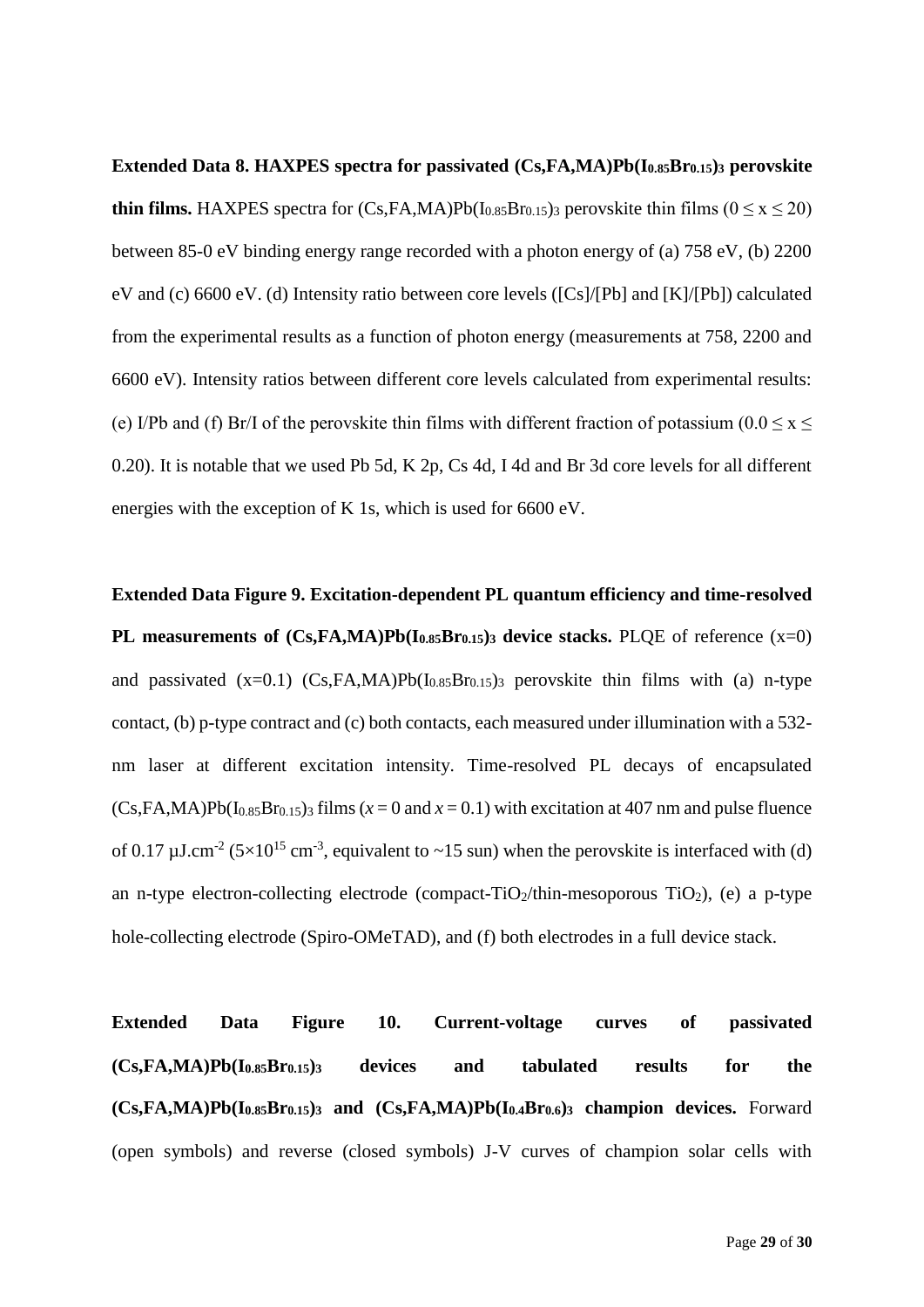**Extended Data 8. HAXPES spectra for passivated (Cs,FA,MA)Pb(I0.85Br0.15)<sup>3</sup> perovskite thin films.** HAXPES spectra for  $(Cs, FA, MA)Pb(I_{0.85}Br_{0.15})$  perovskite thin films  $(0 \le x \le 20)$ between 85-0 eV binding energy range recorded with a photon energy of (a) 758 eV, (b) 2200 eV and (c) 6600 eV. (d) Intensity ratio between core levels ([Cs]/[Pb] and [K]/[Pb]) calculated from the experimental results as a function of photon energy (measurements at 758, 2200 and 6600 eV). Intensity ratios between different core levels calculated from experimental results: (e) I/Pb and (f) Br/I of the perovskite thin films with different fraction of potassium ( $0.0 \le x \le$ 0.20). It is notable that we used Pb 5d, K 2p, Cs 4d, I 4d and Br 3d core levels for all different energies with the exception of K 1s, which is used for 6600 eV.

**Extended Data Figure 9. Excitation-dependent PL quantum efficiency and time-resolved PL measurements of (Cs,FA,MA)Pb(I0.85Br0.15)<sup>3</sup> device stacks.** PLQE of reference (x=0) and passivated  $(x=0.1)$   $(Cs,FA,MA)Pb(I<sub>0.85</sub>Br<sub>0.15</sub>)$  perovskite thin films with (a) n-type contact, (b) p-type contract and (c) both contacts, each measured under illumination with a 532 nm laser at different excitation intensity. Time-resolved PL decays of encapsulated  $(Cs,FA,MA)Pb(I<sub>0.85</sub>Br<sub>0.15</sub>)<sub>3</sub> films (*x* = 0 and *x* = 0.1) with excitation at 407 nm and pulse fluence$ of 0.17  $\mu$ J.cm<sup>-2</sup> (5×10<sup>15</sup> cm<sup>-3</sup>, equivalent to ~15 sun) when the perovskite is interfaced with (d) an n-type electron-collecting electrode (compact-TiO<sub>2</sub>/thin-mesoporous TiO<sub>2</sub>), (e) a p-type hole-collecting electrode (Spiro-OMeTAD), and (f) both electrodes in a full device stack.

**Extended Data Figure 10. Current-voltage curves of passivated (Cs,FA,MA)Pb(I0.85Br0.15)<sup>3</sup> devices and tabulated results for the (Cs,FA,MA)Pb(I0.85Br0.15)<sup>3</sup> and (Cs,FA,MA)Pb(I0.4Br0.6)<sup>3</sup> champion devices.** Forward (open symbols) and reverse (closed symbols) J-V curves of champion solar cells with